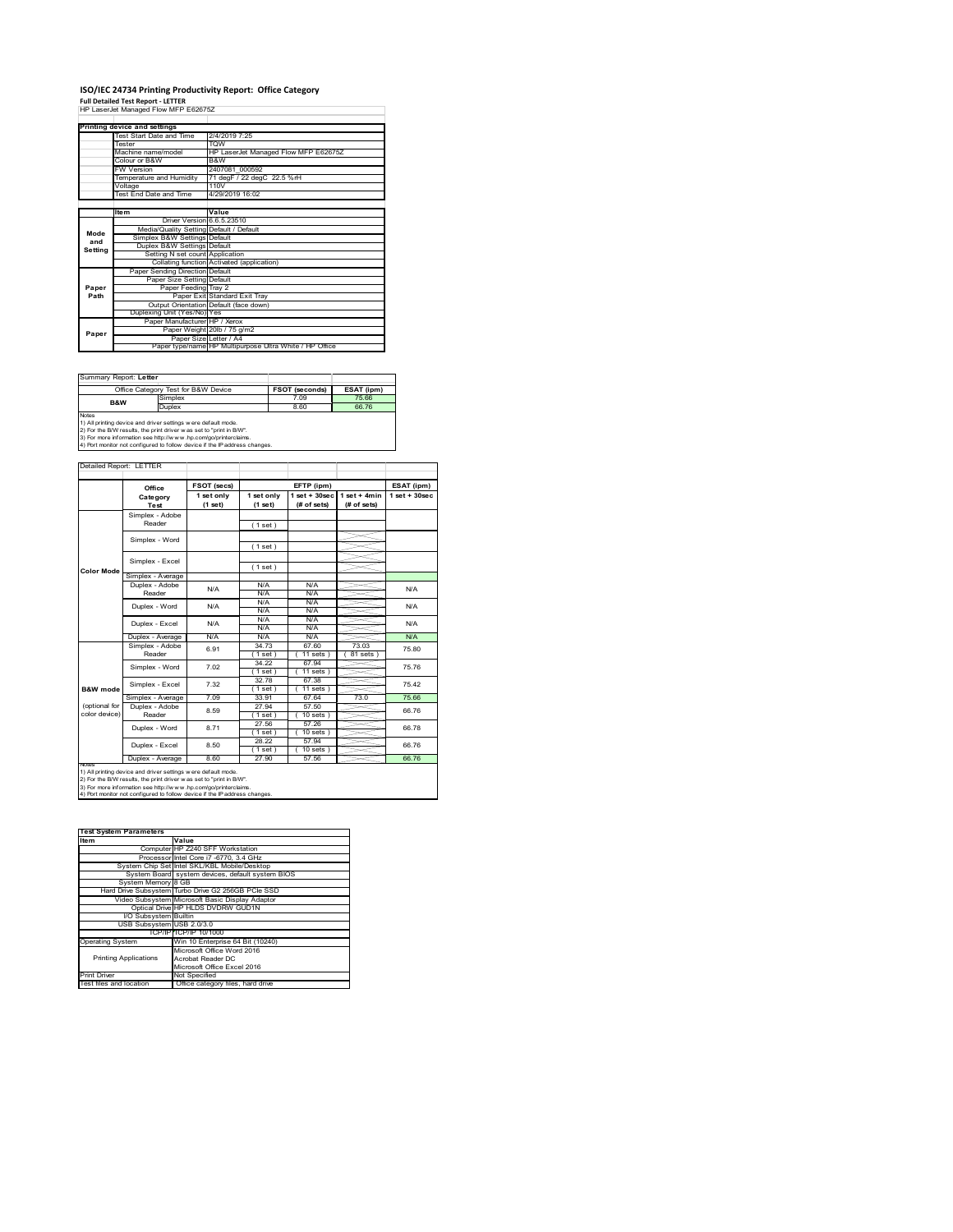### **ISO/IEC 24734 Printing Productivity Report: Office Category**

**Full Detailed Test Report ‐ LETTER** HP LaserJet Managed Flow MFP E62675Z

|         | Printing device and settings            |                                                         |  |
|---------|-----------------------------------------|---------------------------------------------------------|--|
|         | Test Start Date and Time                | 2/4/2019 7:25                                           |  |
|         | <b>Tester</b>                           | <b>TOW</b>                                              |  |
|         | Machine name/model                      | HP LaserJet Managed Flow MFP E62675Z                    |  |
|         | Colour or B&W                           | B&W                                                     |  |
|         | <b>FW Version</b>                       | 2407081 000592                                          |  |
|         | Temperature and Humidity                | 71 degF / 22 degC 22.5 %rH                              |  |
|         | Voltage                                 | 110V                                                    |  |
|         | <b>Test End Date and Time</b>           | 4/29/2019 16:02                                         |  |
|         |                                         |                                                         |  |
|         | <b>Item</b>                             | Value                                                   |  |
|         | Driver Version 6.6.5.23510              |                                                         |  |
| Mode    | Media/Quality Setting Default / Default |                                                         |  |
| and     | Simplex B&W Settings Default            |                                                         |  |
| Setting | Duplex B&W Settings Default             |                                                         |  |
|         | Setting N set count Application         |                                                         |  |
|         |                                         | Collating function Activated (application)              |  |
|         | Paper Sending Direction Default         |                                                         |  |
|         | Paper Size Setting Default              |                                                         |  |
| Paper   | Paper Feeding Tray 2                    |                                                         |  |
| Path    |                                         | Paper Exit Standard Exit Tray                           |  |
|         |                                         | Output Orientation Default (face down)                  |  |
|         | Duplexing Unit (Yes/No) Yes             |                                                         |  |
|         | Paper Manufacturer HP / Xerox           |                                                         |  |
| Paper   |                                         | Paper Weight 20lb / 75 g/m2                             |  |
|         | Paper Size Letter / A4                  |                                                         |  |
|         |                                         | Paper type/name HP Multipurpose Ultra White / HP Office |  |

| Summary Report: Letter                                                                                                                                                                                                                                                                                |                                     |                       |            |  |
|-------------------------------------------------------------------------------------------------------------------------------------------------------------------------------------------------------------------------------------------------------------------------------------------------------|-------------------------------------|-----------------------|------------|--|
|                                                                                                                                                                                                                                                                                                       | Office Category Test for B&W Device | <b>FSOT (seconds)</b> | ESAT (ipm) |  |
| <b>B&amp;W</b>                                                                                                                                                                                                                                                                                        | Simplex                             | 7.09                  | 75.66      |  |
|                                                                                                                                                                                                                                                                                                       | Duplex                              | 8.60                  | 66.76      |  |
| <b>Notes</b><br>1) All printing device and driver settings were default mode.<br>2) For the B/W results, the print driver was set to "print in B/W".<br>3) For more information see http://www.hp.com/go/printerclaims.<br>4) Port monitor not configured to follow device if the IP address changes. |                                     |                       |            |  |

ailed Report: LETTER **FSOT (secs) ESAT (ipm) EFTP (ipm) Office 1 set + 30sec 1 set only (1 set) 1 set only (1 set) 1 set + 30sec (# of sets) 1 set + 4min (# of sets) Category Test** Simplex - Adobe Reader ( 1 set ) Simplex - Word ( 1 set ) Simplex - Excel ( 1 set ) **Color Mode** Simplex - Average Duplex - Adobe N/A  $N/f$ N/A Reader N/A N/A N/A N/A N/A Duplex - Word N/A N/A N/A<br>N/A N/A<br>N/A N/A Duplex - Excel N/A N/A Puplex - Average N/A N/A N/A N/A N/A N/A N/A<br>Simplex - Adobe 6.91 34.73 67.60 73.03 75.8<br>Reader 6.91 1.1 11.5ets (81.5ets) 75.8 6.91 75.80 34.73 67.60 73.03  $(11 \text{ sets}) (81 \text{ sets})$ Simplex - Word 7.02 34.22 67.94 75.76 ( 1 set ) ( 11 sets ) 32.78 67.38 ( 1 set ) ( 11 sets ) Simplex - Excel 7.32 75.42 **B&W** mod Simplex - Average 7.09 33.91 67.64 73.0 75.66<br>
Duplex - Adobe 8.59 27.94 57.50 66.76<br>
Reader 8.59 (1.set) (10.sets) 66.76 (optional for color device) 27.94 57.50<br>(1 set) (10 set)  $\begin{array}{|c|c|c|c|c|}\n\hline\n & 1.594 & 37.50 & 66.76 \\
\hline\n & 1.594 & 10.5645 & 66.76 & 66.76 & 66.76\n\end{array}$ 27.56 57.26 Duplex - Word 8.71 66.78  $\frac{(1 \text{ set})}{28.22}$ <br> $\frac{(1 \text{ set})}{27.90}$  $(10 \text{ sets})$ <br> $57.94$ ∖⊯ Duplex - Excel 8.50 66.76  $\frac{10 \text{ sets}}{57.56}$ Duplex - Average 8.60 27.90 57.56 66.76 notes<br>1) All printing device and driver settings were default mode.<br>2) For the B/W results, the print driver was set to "print in B/W".<br>3) For more information see http://www.hp.com/go/printerclaims.<br>4) Por moralitor not c

| <b>Test System Parameters</b> |                                                    |  |  |  |  |  |
|-------------------------------|----------------------------------------------------|--|--|--|--|--|
| Item                          | Value                                              |  |  |  |  |  |
|                               | Computer HP Z240 SFF Workstation                   |  |  |  |  |  |
|                               | Processor Intel Core i7 -6770, 3.4 GHz             |  |  |  |  |  |
|                               | System Chip Set Intel SKL/KBL Mobile/Desktop       |  |  |  |  |  |
|                               | System Board system devices, default system BIOS   |  |  |  |  |  |
| System Memory 8 GB            |                                                    |  |  |  |  |  |
|                               | Hard Drive Subsystem Turbo Drive G2 256GB PCIe SSD |  |  |  |  |  |
|                               | Video Subsystem Microsoft Basic Display Adaptor    |  |  |  |  |  |
|                               | Optical Drive HP HLDS DVDRW GUD1N                  |  |  |  |  |  |
| I/O Subsystem Builtin         |                                                    |  |  |  |  |  |
| USB Subsystem USB 2.0/3.0     |                                                    |  |  |  |  |  |
|                               | TCP/IP TCP/IP 10/1000                              |  |  |  |  |  |
| <b>Operating System</b>       | Win 10 Enterprise 64 Bit (10240)                   |  |  |  |  |  |
|                               | Microsoft Office Word 2016                         |  |  |  |  |  |
| <b>Printing Applications</b>  | Acrobat Reader DC                                  |  |  |  |  |  |
|                               | Microsoft Office Excel 2016                        |  |  |  |  |  |
| <b>Print Driver</b>           | Not Specified                                      |  |  |  |  |  |
| Test files and location       | Office category files, hard drive                  |  |  |  |  |  |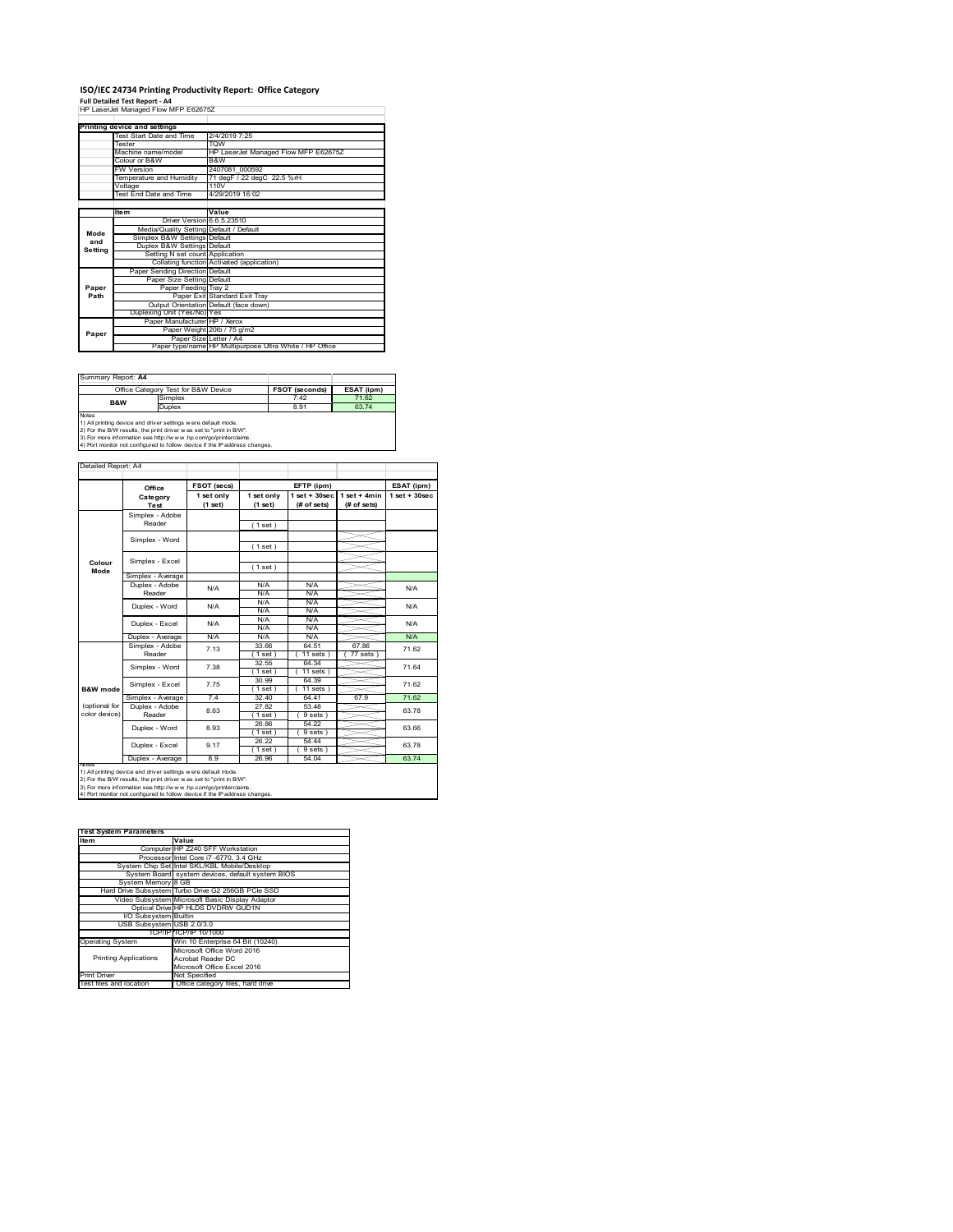# **ISO/IEC 24734 Printing Productivity Report: Office Category<br>Full Detailed Test Report - A4<br>HP LaserJet Managed Flow MFP E62675Z**

|         | Printing device and settings            |                                                         |  |
|---------|-----------------------------------------|---------------------------------------------------------|--|
|         | Test Start Date and Time                | 2/4/2019 7:25                                           |  |
|         | <b>Tester</b>                           | <b>TOW</b>                                              |  |
|         | Machine name/model                      | HP LaserJet Managed Flow MFP E62675Z                    |  |
|         | Colour or B&W                           | B&W                                                     |  |
|         | <b>FW Version</b>                       | 2407081 000592                                          |  |
|         | Temperature and Humidity                | 71 degF / 22 degC 22.5 %rH                              |  |
|         | Voltage                                 | 110V                                                    |  |
|         | Test End Date and Time                  | 4/29/2019 16:02                                         |  |
|         |                                         |                                                         |  |
|         | <b>Item</b>                             | Value                                                   |  |
|         | Driver Version 6.6.5.23510              |                                                         |  |
| Mode    | Media/Quality Setting Default / Default |                                                         |  |
| and     | Simplex B&W Settings Default            |                                                         |  |
| Settina | Duplex B&W Settings Default             |                                                         |  |
|         | Setting N set count Application         |                                                         |  |
|         |                                         | Collating function Activated (application)              |  |
|         | Paper Sending Direction Default         |                                                         |  |
|         | Paper Size Setting Default              |                                                         |  |
| Paper   | Paper Feeding Tray 2                    |                                                         |  |
| Path    |                                         | Paper Exit Standard Exit Tray                           |  |
|         |                                         | Output Orientation Default (face down)                  |  |
|         | Duplexing Unit (Yes/No) Yes             |                                                         |  |
|         | Paper Manufacturer HP / Xerox           |                                                         |  |
| Paper   |                                         | Paper Weight 20lb / 75 g/m2                             |  |
|         | Paper Size Letter / A4                  |                                                         |  |
|         |                                         | Paper type/name HP Multipurpose Ultra White / HP Office |  |

Summary Report: **A4**

| Office Category Test for B&W Device                                                                                                                                                                                                                                                                    |         | <b>FSOT (seconds)</b> | ESAT (ipm) |
|--------------------------------------------------------------------------------------------------------------------------------------------------------------------------------------------------------------------------------------------------------------------------------------------------------|---------|-----------------------|------------|
| <b>B&amp;W</b>                                                                                                                                                                                                                                                                                         | Simplex | 7.42                  | 71.62      |
|                                                                                                                                                                                                                                                                                                        | Duplex  | 8.91                  | 63.74      |
| <b>Notes</b><br>1) All printing device and driver settings w ere default mode.<br>2) For the B/W results, the print driver was set to "print in B/W".<br>3) For more information see http://www.hp.com/go/printerclaims.<br>4) Port monitor not configured to follow device if the IP address changes. |         |                       |            |

|               | Office            | FSOT (secs)           |                       | EFTP (ipm)                        |                               | ESAT (ipm)         |
|---------------|-------------------|-----------------------|-----------------------|-----------------------------------|-------------------------------|--------------------|
|               | Category<br>Test  | 1 set only<br>(1 set) | 1 set only<br>(1 set) | $1$ set + $30$ sec<br>(# of sets) | $1$ set + 4min<br>(# of sets) | $1$ set + $30$ sec |
|               | Simplex - Adobe   |                       |                       |                                   |                               |                    |
|               | Reader            |                       | (1 set)               |                                   |                               |                    |
|               | Simplex - Word    |                       |                       |                                   |                               |                    |
|               |                   |                       | (1 set)               |                                   |                               |                    |
| Colour        | Simplex - Excel   |                       |                       |                                   |                               |                    |
| Mode          |                   |                       | (1 set)               |                                   |                               |                    |
|               | Simplex - Average |                       |                       |                                   |                               |                    |
|               | Duplex - Adobe    | N/A                   | N/A                   | N/A                               |                               | N/A                |
|               | Reader            |                       | N/A                   | N/A                               |                               |                    |
|               | Duplex - Word     | N/A                   | N/A                   | N/A                               |                               | N/A                |
|               |                   |                       | N/A                   | N/A                               |                               |                    |
|               | Duplex - Excel    | N/A                   | N/A                   | N/A                               |                               | N/A                |
|               | Duplex - Average  | N/A                   | N/A<br>N/A            | N/A<br>N/A                        |                               | N/A                |
|               | Simplex - Adobe   |                       | 33.66                 | 64.51                             | 6786                          |                    |
|               | Reader            | 7 13                  | (1 set                | $11$ sets $1$                     | 77 sets                       | 71.62              |
|               |                   |                       | 32.55                 | 64.34                             |                               |                    |
|               | Simplex - Word    | 7.38                  | 1 set                 | $11 sets$ )                       |                               | 71.64              |
|               | Simplex - Excel   | 7.75                  | 30.99                 | 64.39                             |                               | 71.62              |
| B&W mode      |                   |                       | (1 set)               | $11$ sets $)$                     |                               |                    |
|               | Simplex - Average | 74                    | 32.40                 | 64 41                             | 67.9                          | 71.62              |
| (optional for | Duplex - Adobe    | 8.63                  | 27.82                 | 53.48                             |                               | 63.78              |
| color device) | Reader            |                       | 1 set 1               | 9 sets)                           |                               |                    |
|               | Duplex - Word     | 8.93                  | 26.86                 | 54.22                             |                               | 63.66              |
|               |                   |                       | (1 set )              | 9 sets                            |                               |                    |
|               | Duplex - Excel    | 9.17                  | 26.22                 | 54.44                             |                               | 63.78              |
|               |                   | 89                    | 1 set                 | 9 sets                            |                               | 63.74              |
| <b>NOTAS</b>  | Duplex - Average  |                       | 26.96                 | 54.04                             |                               |                    |

| <b>Test System Parameters</b> |                                                    |
|-------------------------------|----------------------------------------------------|
| Item                          | Value                                              |
|                               | Computer HP Z240 SFF Workstation                   |
|                               | Processor Intel Core i7 -6770, 3.4 GHz             |
|                               | System Chip Set Intel SKL/KBL Mobile/Desktop       |
|                               | System Board system devices, default system BIOS   |
| System Memory 8 GB            |                                                    |
|                               | Hard Drive Subsystem Turbo Drive G2 256GB PCle SSD |
|                               | Video Subsystem Microsoft Basic Display Adaptor    |
|                               | Optical Drive HP HLDS DVDRW GUD1N                  |
| I/O Subsystem Builtin         |                                                    |
| USB Subsystem USB 2.0/3.0     |                                                    |
|                               | TCP/IPITCP/IP 10/1000                              |
| <b>Operating System</b>       | Win 10 Enterprise 64 Bit (10240)                   |
|                               | Microsoft Office Word 2016                         |
| <b>Printing Applications</b>  | Acrobat Reader DC                                  |
|                               | Microsoft Office Excel 2016                        |
| <b>Print Driver</b>           | Not Specified                                      |
| Test files and location       | Office category files, hard drive                  |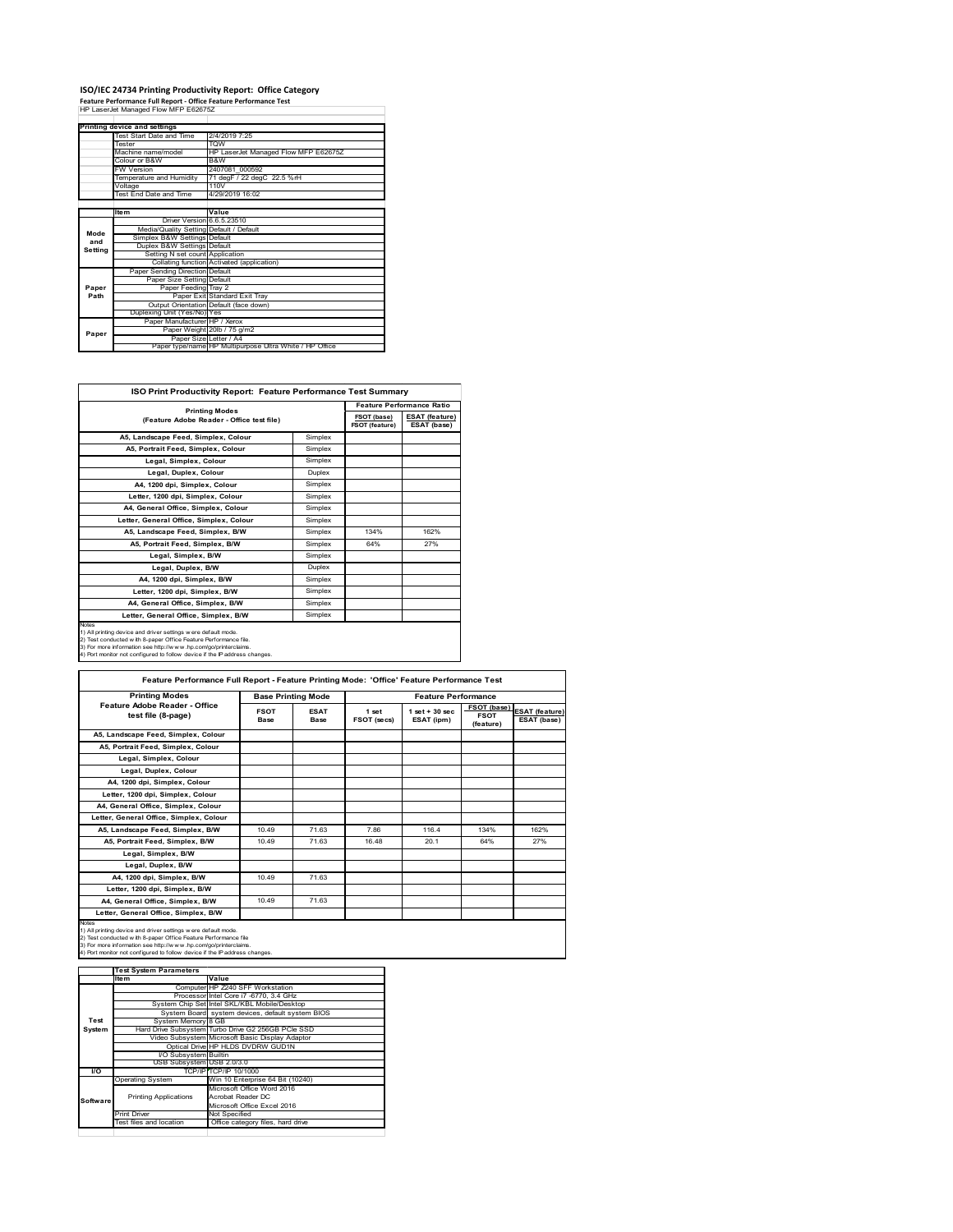# **ISO/IEC 24734 Printing Productivity Report: Office Category Feature Performance Full Report ‐ Office Feature Performance Test** HP LaserJet Managed Flow MFP E62675Z

|         | Printing device and settings            |                                                         |  |  |
|---------|-----------------------------------------|---------------------------------------------------------|--|--|
|         | Test Start Date and Time                | 2/4/2019 7:25                                           |  |  |
|         | <b>Tester</b>                           | <b>TOW</b>                                              |  |  |
|         | Machine name/model                      | HP LaserJet Managed Flow MFP E62675Z                    |  |  |
|         | Colour or B&W                           | B&W                                                     |  |  |
|         | <b>FW Version</b>                       | 2407081 000592                                          |  |  |
|         | Temperature and Humidity                | 71 degF / 22 degC 22.5 %rH                              |  |  |
|         | Voltage                                 | 110V                                                    |  |  |
|         | Test End Date and Time                  | 4/29/2019 16:02                                         |  |  |
|         |                                         |                                                         |  |  |
|         | <b>Item</b>                             | Value                                                   |  |  |
|         | Driver Version 6.6.5.23510              |                                                         |  |  |
| Mode    | Media/Quality Setting Default / Default |                                                         |  |  |
| and     | Simplex B&W Settings Default            |                                                         |  |  |
| Setting | Duplex B&W Settings Default             |                                                         |  |  |
|         | Setting N set count Application         |                                                         |  |  |
|         |                                         | Collating function Activated (application)              |  |  |
|         | Paper Sending Direction Default         |                                                         |  |  |
|         | Paper Size Setting Default              |                                                         |  |  |
| Paper   | Paper Feeding Trav 2                    |                                                         |  |  |
| Path    |                                         | Paper Exit Standard Exit Tray                           |  |  |
|         |                                         | Output Orientation Default (face down)                  |  |  |
|         | Duplexing Unit (Yes/No) Yes             |                                                         |  |  |
|         | Paper Manufacturer HP / Xerox           |                                                         |  |  |
| Paper   |                                         | Paper Weight 20lb / 75 g/m2                             |  |  |
|         | Paper Size Letter / A4                  |                                                         |  |  |
|         |                                         | Paper type/name HP Multipurpose Ultra White / HP Office |  |  |

٦

| <b>ISO Print Productivity Report: Feature Performance Test Summary</b>                                                                                                                                                                                                                            |         |                               |                                      |  |  |
|---------------------------------------------------------------------------------------------------------------------------------------------------------------------------------------------------------------------------------------------------------------------------------------------------|---------|-------------------------------|--------------------------------------|--|--|
|                                                                                                                                                                                                                                                                                                   |         |                               | <b>Feature Performance Ratio</b>     |  |  |
| <b>Printing Modes</b><br>(Feature Adobe Reader - Office test file)                                                                                                                                                                                                                                |         | FSOT (base)<br>FSOT (feature) | <b>ESAT (feature)</b><br>ESAT (base) |  |  |
| A5, Landscape Feed, Simplex, Colour                                                                                                                                                                                                                                                               | Simplex |                               |                                      |  |  |
| A5. Portrait Feed. Simplex. Colour                                                                                                                                                                                                                                                                | Simplex |                               |                                      |  |  |
| Legal, Simplex, Colour                                                                                                                                                                                                                                                                            | Simplex |                               |                                      |  |  |
| Legal, Duplex, Colour                                                                                                                                                                                                                                                                             | Duplex  |                               |                                      |  |  |
| A4, 1200 dpi, Simplex, Colour                                                                                                                                                                                                                                                                     | Simplex |                               |                                      |  |  |
| Letter, 1200 dpi, Simplex, Colour                                                                                                                                                                                                                                                                 | Simplex |                               |                                      |  |  |
| A4. General Office. Simplex. Colour                                                                                                                                                                                                                                                               | Simplex |                               |                                      |  |  |
| Letter, General Office, Simplex, Colour                                                                                                                                                                                                                                                           | Simplex |                               |                                      |  |  |
| A5, Landscape Feed, Simplex, B/W                                                                                                                                                                                                                                                                  | Simplex | 134%                          | 162%                                 |  |  |
| A5, Portrait Feed, Simplex, B/W                                                                                                                                                                                                                                                                   | Simplex | 64%                           | 27%                                  |  |  |
| Legal, Simplex, B/W                                                                                                                                                                                                                                                                               | Simplex |                               |                                      |  |  |
| Legal, Duplex, B/W                                                                                                                                                                                                                                                                                | Duplex  |                               |                                      |  |  |
| A4, 1200 dpi, Simplex, B/W                                                                                                                                                                                                                                                                        | Simplex |                               |                                      |  |  |
| Letter, 1200 dpi. Simplex, B/W                                                                                                                                                                                                                                                                    | Simplex |                               |                                      |  |  |
| A4, General Office, Simplex, B/W                                                                                                                                                                                                                                                                  | Simplex |                               |                                      |  |  |
| Letter, General Office, Simplex, B/W                                                                                                                                                                                                                                                              | Simplex |                               |                                      |  |  |
| <b>Notes</b><br>1) All printing device and driver settings were default mode.<br>2) Test conducted with 8-paper Office Feature Performance file.<br>3) For more information see http://www.hp.com/go/printerclaims.<br>4) Port monitor not configured to follow device if the IP address changes. |         |                               |                                      |  |  |

| <b>Printing Modes</b>                               |                     | <b>Base Printing Mode</b>  |                      | <b>Feature Performance</b>      |                                         |                                      |
|-----------------------------------------------------|---------------------|----------------------------|----------------------|---------------------------------|-----------------------------------------|--------------------------------------|
| Feature Adobe Reader - Office<br>test file (8-page) | <b>FSOT</b><br>Base | <b>ESAT</b><br><b>Base</b> | 1 set<br>FSOT (secs) | $1$ set $+30$ sec<br>ESAT (ipm) | FSOT (base)<br><b>FSOT</b><br>(feature) | <b>ESAT</b> (feature)<br>ESAT (base) |
| A5, Landscape Feed, Simplex, Colour                 |                     |                            |                      |                                 |                                         |                                      |
| A5, Portrait Feed, Simplex, Colour                  |                     |                            |                      |                                 |                                         |                                      |
| Legal, Simplex, Colour                              |                     |                            |                      |                                 |                                         |                                      |
| Legal, Duplex, Colour                               |                     |                            |                      |                                 |                                         |                                      |
| A4. 1200 dpi. Simplex. Colour                       |                     |                            |                      |                                 |                                         |                                      |
| Letter, 1200 dpi, Simplex, Colour                   |                     |                            |                      |                                 |                                         |                                      |
| A4, General Office, Simplex, Colour                 |                     |                            |                      |                                 |                                         |                                      |
| Letter, General Office, Simplex, Colour             |                     |                            |                      |                                 |                                         |                                      |
| A5, Landscape Feed, Simplex, B/W                    | 10.49               | 71.63                      | 786                  | 1164                            | 134%                                    | 162%                                 |
| A5, Portrait Feed, Simplex, B/W                     | 10.49               | 71.63                      | 16 48                | 20.1                            | 64%                                     | 27%                                  |
| Legal, Simplex, B/W                                 |                     |                            |                      |                                 |                                         |                                      |
| Legal, Duplex, B/W                                  |                     |                            |                      |                                 |                                         |                                      |
| A4. 1200 dpi. Simplex. B/W                          | 10.49               | 71.63                      |                      |                                 |                                         |                                      |
| Letter, 1200 dpi, Simplex, B/W                      |                     |                            |                      |                                 |                                         |                                      |
| A4. General Office. Simplex. B/W                    | 10.49               | 71.63                      |                      |                                 |                                         |                                      |
| Letter, General Office, Simplex, B/W                |                     |                            |                      |                                 |                                         |                                      |

1) All printing device and driver settings were default mode.<br>2) Test conducted with 8-paper Office Feature Performance file<br>3) For more information see http://www.hp.com/go/printerclaims.<br>4) Port monitor not configured to

|            | <b>Test System Parameters</b> |                                                    |
|------------|-------------------------------|----------------------------------------------------|
|            | Item                          | Value                                              |
|            |                               | Computer HP Z240 SFF Workstation                   |
|            |                               | Processor Intel Core i7 -6770, 3.4 GHz             |
|            |                               | System Chip Set Intel SKL/KBL Mobile/Desktop       |
|            |                               | System Board system devices, default system BIOS   |
| Test       | System Memory 8 GB            |                                                    |
| System     |                               | Hard Drive Subsystem Turbo Drive G2 256GB PCle SSD |
|            |                               | Video Subsystem Microsoft Basic Display Adaptor    |
|            |                               | Optical Drive HP HLDS DVDRW GUD1N                  |
|            | I/O Subsystem Builtin         |                                                    |
|            | USB Subsystem USB 2.0/3.0     |                                                    |
| <b>I/O</b> |                               | TCP/IP/TCP/IP 10/1000                              |
|            | <b>Operating System</b>       | Win 10 Enterprise 64 Bit (10240)                   |
|            |                               | Microsoft Office Word 2016                         |
| Software   | <b>Printing Applications</b>  | Acrobat Reader DC                                  |
|            |                               | Microsoft Office Excel 2016                        |
|            | <b>Print Driver</b>           | Not Specified                                      |
|            | Test files and location       | Office category files, hard drive                  |
|            |                               |                                                    |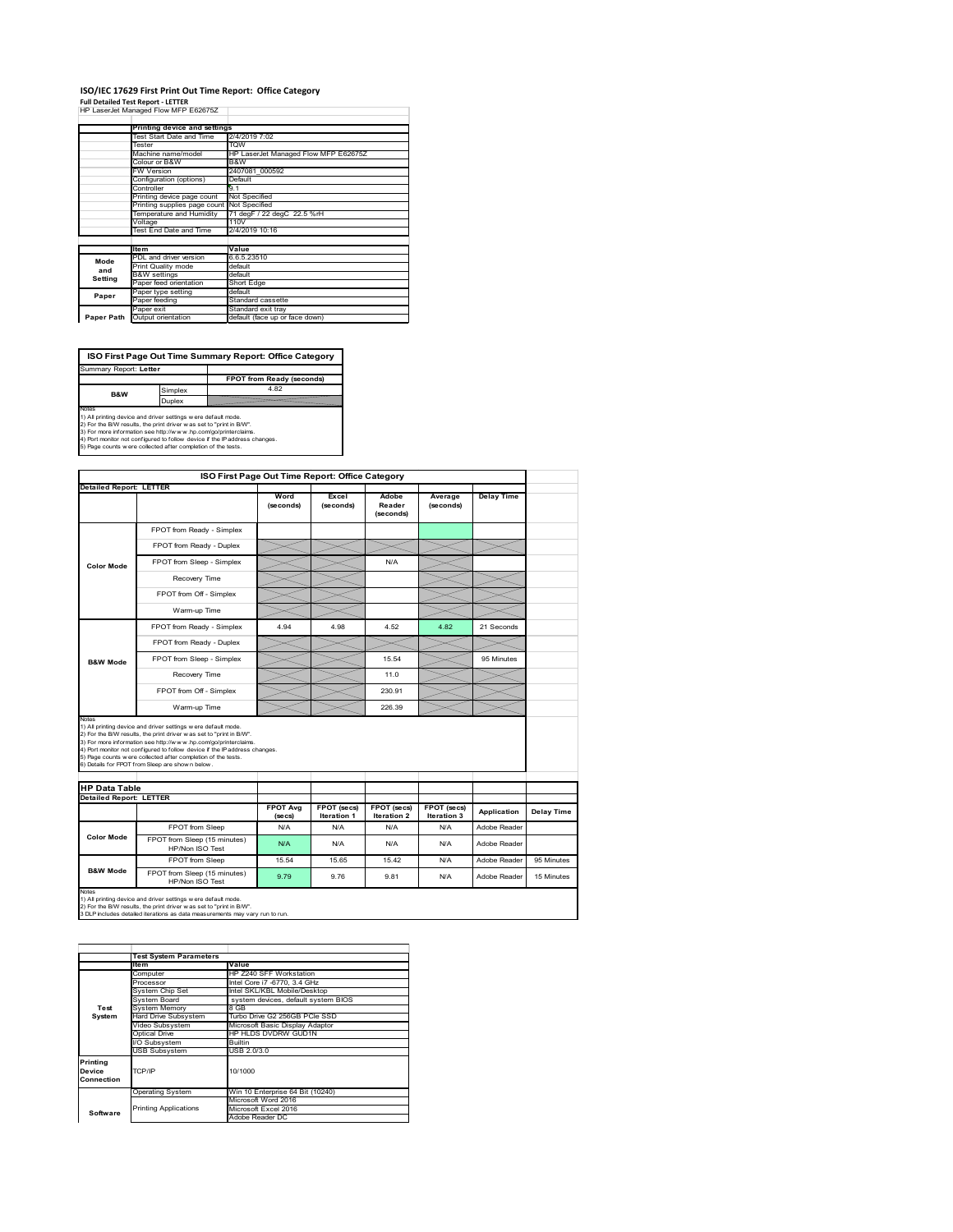### **ISO/IEC 17629 First Print Out Time Report: Office Category Full Detailed Test Report ‐ LETTER** HP LaserJet Managed Flow MFP E62675Z

|  | THE LOSS CROCK IVIORIOUS CONTROL TOWN IVIT I LOZOT JE |                      |
|--|-------------------------------------------------------|----------------------|
|  |                                                       |                      |
|  | Printing device and settings                          |                      |
|  | Test Start Date and Time                              | 2/4/2019 7:02        |
|  | Tester                                                | <b>TOW</b>           |
|  | Machine name/model                                    | HP Laser let Manager |

|         | Machine name/model                         | HP LaserJet Managed Flow MFP E62675Z |
|---------|--------------------------------------------|--------------------------------------|
|         | Colour or B&W                              | B&W                                  |
|         | FW Version                                 | 2407081 000592                       |
|         | Configuration (options)                    | Default                              |
|         | Controller                                 | 9.1                                  |
|         | Printing device page count                 | Not Specified                        |
|         | Printing supplies page count Not Specified |                                      |
|         | Temperature and Humidity                   | 71 degF / 22 degC 22.5 %rH           |
|         | Voltage                                    | 110V                                 |
|         |                                            | 2/4/2019 10:16                       |
|         | Test End Date and Time                     |                                      |
|         |                                            |                                      |
|         | <b>Item</b>                                | Value                                |
|         | PDL and driver version                     | 6.6.5.23510                          |
| Mode    | Print Quality mode                         | default                              |
| and     | <b>B&amp;W</b> settings                    | default                              |
| Setting | Paper feed orientation                     | Short Edge                           |
|         | Paper type setting                         | default                              |
| Paper   | Paper feeding                              | Standard cassette                    |
|         | Paper exit                                 | Standard exit trav                   |

**ISO First Page Out Time Summary Report: Office Category** t: Letter

**FPOT from Ready (second** implex Duplex **B&W**

Notes<br>1) All printing device and driver settings were default mode.<br>2) For the BW results, the print driver was set to "print in BW".<br>3) For more information see http://www.hp.com/golprinterclaims.<br>4) Port montor not confi

**ISO First Page Out Time Report: Office Category Detailed Report: LETTER Excel Wo Delay Time Adobe Reader Average (seconds)** (secol **(seconds) (seconds)** FPOT from Ready - Simplex FPOT from Ready - Duplex  $\prec$ FPOT from Sleep - Simplex  $\sqrt{\phantom{a}}$  N/A **Color Mode** Recovery Time  $\equiv$ FPOT from Off - Simplex  $\times$ Warm-up Time  $\widetilde{\phantom{m}}$  $\overline{\phantom{0}}$  $\prec$ FPOT from Ready - Simplex 4.94 4.98 4.52 4.82 21 Seconds FPOT from Ready - Duplex  $>\!\!<$ FPOT from Sleep - Simplex  $\sim$  15.54 95 Minutes **B&W Mode** Recovery Time  $\sim$  11.0 FPOT from Off - Simplex 230.91 Warm-up Time  $\sum$  226.39 Notes<br>1) All printing device and driver settings were default mode.<br>2) For the BMV results, the print driver was set to "print in BMV".<br>3) For more information see http://www.hp.com/golprinterclaims.<br>4) Port monter not con **HP Data Table Detailed Report: LETTER FPOT Avg FPOT (secs) FPOT (secs) FPOT (secs) Iteration 3 Application Delay Time Iteration 1 (secs) Iteration 2** FPOT from Sleep N/A N/A N/A N/A N/A Adobe Reade **Color Mode** FPOT from Sleep (15 minutes) N/A N/A N/A N/A HP/Non ISO Test N/A N/A Reader FPOT from Sleep 15.54 15.65 15.42 N/A Adobe Reader 95 Minutes **B&W Mode** FPOT from Sleep (15 minutes) Throm Sleep (15 minutes) 9.79 9.76 9.81 N/A Adobe Reader 15 Minutes Notes<br>1) All printing device and driver settings w ere default mode.<br>2) For the B/W results, the print driver w as set to "print in B/W".<br>3 DLP includes detailed iterations as data measurements may vary run to run.

|            | <b>Test System Parameters</b> |                                     |
|------------|-------------------------------|-------------------------------------|
|            | <b>Item</b>                   | Value                               |
|            | Computer                      | HP Z240 SFF Workstation             |
|            | Processor                     | Intel Core i7 -6770, 3.4 GHz        |
|            | System Chip Set               | Intel SKL/KBL Mobile/Desktop        |
|            | System Board                  | system devices, default system BIOS |
| Test       | <b>System Memory</b>          | 8 GB                                |
| System     | <b>Hard Drive Subsystem</b>   | Turbo Drive G2 256GB PCle SSD       |
|            | Video Subsystem               | Microsoft Basic Display Adaptor     |
|            | Optical Drive                 | HP HLDS DVDRW GUD1N                 |
|            | I/O Subsystem                 | <b>Builtin</b>                      |
|            | <b>USB Subsystem</b>          | USB 2.0/3.0                         |
| Printing   |                               |                                     |
| Device     | TCP/IP                        | 10/1000                             |
| Connection |                               |                                     |
|            |                               |                                     |
|            | <b>Operating System</b>       | Win 10 Enterprise 64 Bit (10240)    |
|            |                               | Microsoft Word 2016                 |
| Software   | <b>Printing Applications</b>  | Microsoft Excel 2016                |
|            |                               | Adobe Reader DC                     |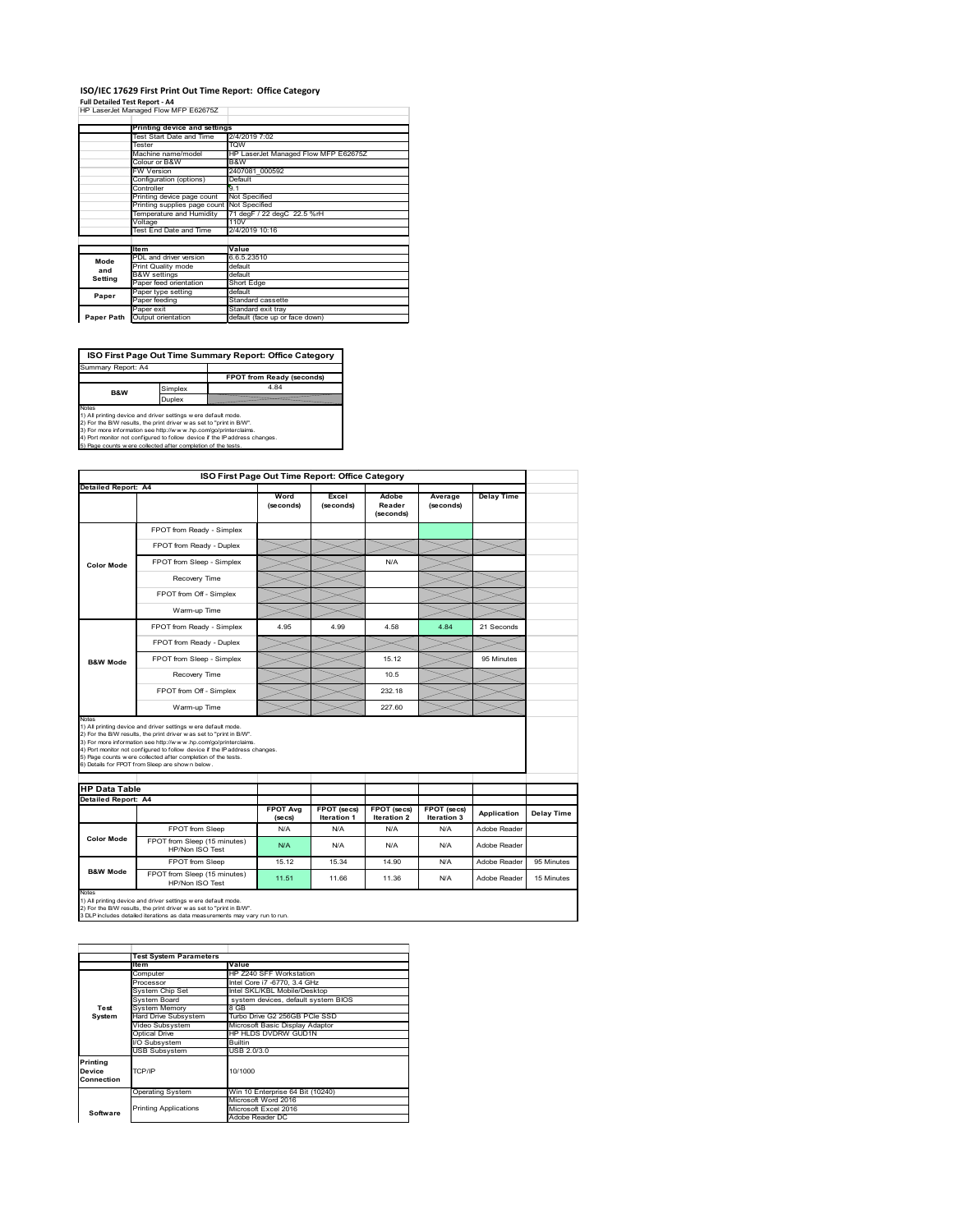### **ISO/IEC 17629 First Print Out Time Report: Office Category**

**Full Detailed Test Report ‐ A4** HP LaserJet Managed Flow MFP E62675Z

|            | Printing device and settings               |                                      |
|------------|--------------------------------------------|--------------------------------------|
|            | Test Start Date and Time                   | 2/4/2019 7:02                        |
|            | Tester                                     | <b>TOW</b>                           |
|            | Machine name/model                         | HP LaserJet Managed Flow MFP E62675Z |
|            | Colour or B&W                              | B&W                                  |
|            | <b>FW Version</b>                          | 2407081 000592                       |
|            | Configuration (options)                    | Default                              |
|            | Controller                                 | 9.1                                  |
|            | Printing device page count                 | Not Specified                        |
|            | Printing supplies page count Not Specified |                                      |
|            | Temperature and Humidity                   | 71 degF / 22 degC 22.5 %rH           |
|            | Voltage                                    | 110V                                 |
|            | Test End Date and Time                     | 2/4/2019 10:16                       |
|            |                                            |                                      |
|            | <b>Item</b>                                | Value                                |
| Mode       | PDL and driver version                     | 6.6.5.23510                          |
| and        | Print Quality mode                         | default                              |
| Setting    | <b>B&amp;W</b> settings                    | default                              |
|            | Paper feed orientation                     | Short Edge                           |
| Paper      | Paper type setting                         | default                              |
|            | Paper feeding                              | Standard cassette                    |
|            | Paper exit                                 | Standard exit trav                   |
| Paper Path | Output orientation                         | default (face up or face down)       |

٦

**ISO First Page Out Time Summary Report: Office Category**

**FPOT from Ready (seconds)** Simplex 4.84 Duplex Notes<br>1) All printing device and driver settings were default mode.<br>2) For the BAV results, the print driver was set to "print in BAV".<br>3) For more information see http://www.hp.com/golprinterclaims.<br>4) Port monitor not co Summary Report: A4 **B&W**

| <b>Detailed Report: A4</b>                         |                                                                                                                                                                                                                                                                                                                                                                                                             |                   | ISO First Page Out Time Report: Office Category |                              |                      |                   |            |
|----------------------------------------------------|-------------------------------------------------------------------------------------------------------------------------------------------------------------------------------------------------------------------------------------------------------------------------------------------------------------------------------------------------------------------------------------------------------------|-------------------|-------------------------------------------------|------------------------------|----------------------|-------------------|------------|
|                                                    |                                                                                                                                                                                                                                                                                                                                                                                                             |                   |                                                 |                              |                      |                   |            |
|                                                    |                                                                                                                                                                                                                                                                                                                                                                                                             | Word<br>(seconds) | Excel<br>(seconds)                              | Adobe<br>Reader<br>(seconds) | Average<br>(seconds) | <b>Delay Time</b> |            |
|                                                    | FPOT from Ready - Simplex                                                                                                                                                                                                                                                                                                                                                                                   |                   |                                                 |                              |                      |                   |            |
|                                                    | FPOT from Ready - Duplex                                                                                                                                                                                                                                                                                                                                                                                    |                   |                                                 |                              |                      |                   |            |
| <b>Color Mode</b>                                  | FPOT from Sleep - Simplex                                                                                                                                                                                                                                                                                                                                                                                   |                   |                                                 | N/A                          |                      |                   |            |
|                                                    | Recovery Time                                                                                                                                                                                                                                                                                                                                                                                               |                   |                                                 |                              |                      |                   |            |
|                                                    | FPOT from Off - Simplex                                                                                                                                                                                                                                                                                                                                                                                     |                   |                                                 |                              |                      |                   |            |
|                                                    | Warm-up Time                                                                                                                                                                                                                                                                                                                                                                                                |                   |                                                 |                              |                      |                   |            |
|                                                    | FPOT from Ready - Simplex                                                                                                                                                                                                                                                                                                                                                                                   | 4 95              | 4 9 9                                           | 4.58                         | 484                  | 21 Seconds        |            |
|                                                    | FPOT from Ready - Duplex                                                                                                                                                                                                                                                                                                                                                                                    |                   |                                                 |                              |                      |                   |            |
| <b>B&amp;W Mode</b>                                | FPOT from Sleep - Simplex                                                                                                                                                                                                                                                                                                                                                                                   |                   |                                                 | 15.12                        |                      | 95 Minutes        |            |
|                                                    | Recovery Time                                                                                                                                                                                                                                                                                                                                                                                               |                   |                                                 | 10.5                         |                      |                   |            |
|                                                    | FPOT from Off - Simplex                                                                                                                                                                                                                                                                                                                                                                                     |                   |                                                 | 232.18                       |                      |                   |            |
|                                                    | Warm-up Time                                                                                                                                                                                                                                                                                                                                                                                                |                   |                                                 | 227.60                       |                      |                   |            |
| <b>HP Data Table</b><br><b>Detailed Report: A4</b> | 1) All printing device and driver settings w ere default mode.<br>2) For the B/W results, the print driver was set to "print in B/W".<br>3) For more information see http://www.hp.com/go/printerclaims.<br>4) Port monitor not configured to follow device if the IP address changes.<br>5) Page counts w ere collected after completion of the tests.<br>6) Details for FPOT from Sleep are show n below. | <b>FPOT Avg</b>   | FPOT (secs)                                     | FPOT (secs)                  | FPOT (secs)          |                   |            |
|                                                    |                                                                                                                                                                                                                                                                                                                                                                                                             | (se cs)           | <b>Iteration 1</b>                              | <b>Iteration 2</b>           | <b>Iteration 3</b>   | Application       | Delay Time |
| <b>Color Mode</b>                                  | FPOT from Sleep                                                                                                                                                                                                                                                                                                                                                                                             | N/A               | N/A                                             | N/A                          | N/A                  | Adobe Reader      |            |
|                                                    | FPOT from Sleep (15 minutes)<br>HP/Non ISO Test                                                                                                                                                                                                                                                                                                                                                             | N/A               | N/A                                             | N/A                          | N/A                  | Adobe Reader      |            |
|                                                    |                                                                                                                                                                                                                                                                                                                                                                                                             | 15.12             | 15.34                                           | 14.90                        | N/A                  | Adobe Reader      |            |
| <b>B&amp;W Mode</b>                                | FPOT from Sleep                                                                                                                                                                                                                                                                                                                                                                                             |                   |                                                 |                              |                      |                   | 95 Minutes |

|            | <b>Test System Parameters</b><br>Item | Value                               |
|------------|---------------------------------------|-------------------------------------|
|            |                                       |                                     |
|            | Computer                              | HP Z240 SFF Workstation             |
|            | Processor                             | Intel Core i7 -6770, 3.4 GHz        |
|            | System Chip Set                       | Intel SKL/KBL Mobile/Desktop        |
|            | System Board                          | system devices, default system BIOS |
| Test       | <b>System Memory</b>                  | 8 GB                                |
| System     | <b>Hard Drive Subsystem</b>           | Turbo Drive G2 256GB PCle SSD       |
|            | Video Subsystem                       | Microsoft Basic Display Adaptor     |
|            | Optical Drive                         | HP HLDS DVDRW GUD1N                 |
|            | I/O Subsystem                         | Builtin                             |
|            | <b>USB Subsystem</b>                  | USB 2.0/3.0                         |
| Printing   |                                       |                                     |
| Device     | TCP/IP                                | 10/1000                             |
| Connection |                                       |                                     |
|            | <b>Operating System</b>               | Win 10 Enterprise 64 Bit (10240)    |
|            |                                       | Microsoft Word 2016                 |
| Software   | <b>Printing Applications</b>          | Microsoft Excel 2016                |
|            |                                       | Adobe Reader DC                     |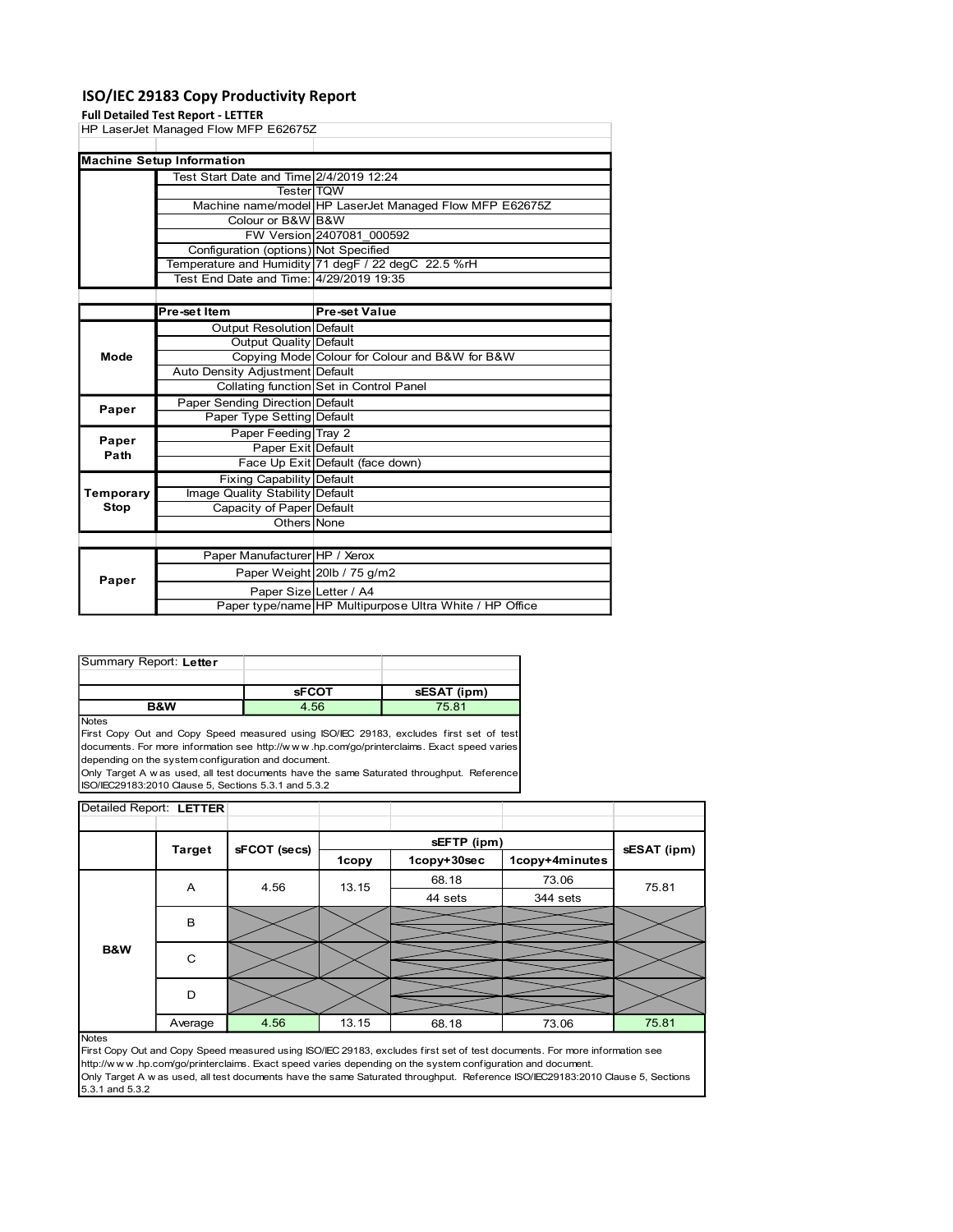### ISO/IEC 29183 Copy Productivity Report

#### Full Detailed Test Report - LETTER

| Paper Manufacturer HP / Xerox<br>Paper Weight 20lb / 75 g/m2<br>Paper<br>Paper Size Letter / A4<br>Paper type/name HP Multipurpose Ultra White / HP Office<br>Summary Report: Letter<br><b>sFCOT</b><br>sESAT (ipm)<br>4.56<br><b>B&amp;W</b><br>75.81<br>First Copy Out and Copy Speed measured using ISO/IEC 29183, excludes first set of test<br>documents. For more information see http://www.hp.com/go/printerclaims. Exact speed varies<br>depending on the system configuration and document.<br>Only Target A w as used, all test documents have the same Saturated throughput. Reference<br>ISO/IEC29183:2010 Clause 5, Sections 5.3.1 and 5.3.2<br>Detailed Report: LETTER<br>sEFTP (ipm)<br><b>Target</b><br>sFCOT (secs)<br>sESAT (ipm) |
|------------------------------------------------------------------------------------------------------------------------------------------------------------------------------------------------------------------------------------------------------------------------------------------------------------------------------------------------------------------------------------------------------------------------------------------------------------------------------------------------------------------------------------------------------------------------------------------------------------------------------------------------------------------------------------------------------------------------------------------------------|
|                                                                                                                                                                                                                                                                                                                                                                                                                                                                                                                                                                                                                                                                                                                                                      |
|                                                                                                                                                                                                                                                                                                                                                                                                                                                                                                                                                                                                                                                                                                                                                      |
|                                                                                                                                                                                                                                                                                                                                                                                                                                                                                                                                                                                                                                                                                                                                                      |
|                                                                                                                                                                                                                                                                                                                                                                                                                                                                                                                                                                                                                                                                                                                                                      |
|                                                                                                                                                                                                                                                                                                                                                                                                                                                                                                                                                                                                                                                                                                                                                      |
|                                                                                                                                                                                                                                                                                                                                                                                                                                                                                                                                                                                                                                                                                                                                                      |
|                                                                                                                                                                                                                                                                                                                                                                                                                                                                                                                                                                                                                                                                                                                                                      |
|                                                                                                                                                                                                                                                                                                                                                                                                                                                                                                                                                                                                                                                                                                                                                      |
|                                                                                                                                                                                                                                                                                                                                                                                                                                                                                                                                                                                                                                                                                                                                                      |
|                                                                                                                                                                                                                                                                                                                                                                                                                                                                                                                                                                                                                                                                                                                                                      |
|                                                                                                                                                                                                                                                                                                                                                                                                                                                                                                                                                                                                                                                                                                                                                      |
|                                                                                                                                                                                                                                                                                                                                                                                                                                                                                                                                                                                                                                                                                                                                                      |
|                                                                                                                                                                                                                                                                                                                                                                                                                                                                                                                                                                                                                                                                                                                                                      |
|                                                                                                                                                                                                                                                                                                                                                                                                                                                                                                                                                                                                                                                                                                                                                      |
|                                                                                                                                                                                                                                                                                                                                                                                                                                                                                                                                                                                                                                                                                                                                                      |
|                                                                                                                                                                                                                                                                                                                                                                                                                                                                                                                                                                                                                                                                                                                                                      |
|                                                                                                                                                                                                                                                                                                                                                                                                                                                                                                                                                                                                                                                                                                                                                      |
|                                                                                                                                                                                                                                                                                                                                                                                                                                                                                                                                                                                                                                                                                                                                                      |
|                                                                                                                                                                                                                                                                                                                                                                                                                                                                                                                                                                                                                                                                                                                                                      |
|                                                                                                                                                                                                                                                                                                                                                                                                                                                                                                                                                                                                                                                                                                                                                      |
|                                                                                                                                                                                                                                                                                                                                                                                                                                                                                                                                                                                                                                                                                                                                                      |
| Others None                                                                                                                                                                                                                                                                                                                                                                                                                                                                                                                                                                                                                                                                                                                                          |
| <b>Stop</b><br>Capacity of Paper Default                                                                                                                                                                                                                                                                                                                                                                                                                                                                                                                                                                                                                                                                                                             |
| Temporary<br>Image Quality Stability Default                                                                                                                                                                                                                                                                                                                                                                                                                                                                                                                                                                                                                                                                                                         |
| <b>Fixing Capability Default</b>                                                                                                                                                                                                                                                                                                                                                                                                                                                                                                                                                                                                                                                                                                                     |
| Path<br>Face Up Exit Default (face down)                                                                                                                                                                                                                                                                                                                                                                                                                                                                                                                                                                                                                                                                                                             |
| Paper<br>Paper Exit Default                                                                                                                                                                                                                                                                                                                                                                                                                                                                                                                                                                                                                                                                                                                          |
| Paper Feeding Tray 2                                                                                                                                                                                                                                                                                                                                                                                                                                                                                                                                                                                                                                                                                                                                 |
| Paper<br>Paper Type Setting Default                                                                                                                                                                                                                                                                                                                                                                                                                                                                                                                                                                                                                                                                                                                  |
| Paper Sending Direction Default                                                                                                                                                                                                                                                                                                                                                                                                                                                                                                                                                                                                                                                                                                                      |
| Collating function Set in Control Panel                                                                                                                                                                                                                                                                                                                                                                                                                                                                                                                                                                                                                                                                                                              |
| Auto Density Adjustment Default                                                                                                                                                                                                                                                                                                                                                                                                                                                                                                                                                                                                                                                                                                                      |
| Copying Mode Colour for Colour and B&W for B&W<br>Mode                                                                                                                                                                                                                                                                                                                                                                                                                                                                                                                                                                                                                                                                                               |
| <b>Output Quality Default</b>                                                                                                                                                                                                                                                                                                                                                                                                                                                                                                                                                                                                                                                                                                                        |
| <b>Output Resolution Default</b>                                                                                                                                                                                                                                                                                                                                                                                                                                                                                                                                                                                                                                                                                                                     |
| <b>Pre-set Value</b><br>Pre-set Item                                                                                                                                                                                                                                                                                                                                                                                                                                                                                                                                                                                                                                                                                                                 |
|                                                                                                                                                                                                                                                                                                                                                                                                                                                                                                                                                                                                                                                                                                                                                      |
| Test End Date and Time: 4/29/2019 19:35                                                                                                                                                                                                                                                                                                                                                                                                                                                                                                                                                                                                                                                                                                              |
| Temperature and Humidity 71 degF / 22 degC 22.5 %rH                                                                                                                                                                                                                                                                                                                                                                                                                                                                                                                                                                                                                                                                                                  |
| Configuration (options) Not Specified                                                                                                                                                                                                                                                                                                                                                                                                                                                                                                                                                                                                                                                                                                                |
| FW Version 2407081_000592                                                                                                                                                                                                                                                                                                                                                                                                                                                                                                                                                                                                                                                                                                                            |
| Colour or B&W B&W                                                                                                                                                                                                                                                                                                                                                                                                                                                                                                                                                                                                                                                                                                                                    |
| Machine name/model HP LaserJet Managed Flow MFP E62675Z                                                                                                                                                                                                                                                                                                                                                                                                                                                                                                                                                                                                                                                                                              |
| Test Start Date and Time 2/4/2019 12:24<br><b>Tester TQW</b>                                                                                                                                                                                                                                                                                                                                                                                                                                                                                                                                                                                                                                                                                         |
|                                                                                                                                                                                                                                                                                                                                                                                                                                                                                                                                                                                                                                                                                                                                                      |
|                                                                                                                                                                                                                                                                                                                                                                                                                                                                                                                                                                                                                                                                                                                                                      |
| <b>Machine Setup Information</b>                                                                                                                                                                                                                                                                                                                                                                                                                                                                                                                                                                                                                                                                                                                     |
|                                                                                                                                                                                                                                                                                                                                                                                                                                                                                                                                                                                                                                                                                                                                                      |
| <b>Full Detailed Test Report - LETTER</b><br>HP LaserJet Managed Flow MFP E62675Z                                                                                                                                                                                                                                                                                                                                                                                                                                                                                                                                                                                                                                                                    |

| Summary Report: Letter |              |             |
|------------------------|--------------|-------------|
|                        |              |             |
|                        |              |             |
|                        | <b>SFCOT</b> | sESAT (ipm) |

| Paper                           |                         |                                                      |       |                                                                                                                                                                                                                                                                                   |                                                                                                                                                                                                                                                              |             |
|---------------------------------|-------------------------|------------------------------------------------------|-------|-----------------------------------------------------------------------------------------------------------------------------------------------------------------------------------------------------------------------------------------------------------------------------------|--------------------------------------------------------------------------------------------------------------------------------------------------------------------------------------------------------------------------------------------------------------|-------------|
| Path                            |                         | Paper Exit Default                                   |       |                                                                                                                                                                                                                                                                                   |                                                                                                                                                                                                                                                              |             |
|                                 |                         | Face Up Exit Default (face down)                     |       |                                                                                                                                                                                                                                                                                   |                                                                                                                                                                                                                                                              |             |
|                                 |                         | Fixing Capability Default                            |       |                                                                                                                                                                                                                                                                                   |                                                                                                                                                                                                                                                              |             |
| Temporary                       |                         | Image Quality Stability Default                      |       |                                                                                                                                                                                                                                                                                   |                                                                                                                                                                                                                                                              |             |
| Stop                            |                         | Capacity of Paper Default                            |       |                                                                                                                                                                                                                                                                                   |                                                                                                                                                                                                                                                              |             |
|                                 |                         | Others None                                          |       |                                                                                                                                                                                                                                                                                   |                                                                                                                                                                                                                                                              |             |
|                                 |                         |                                                      |       |                                                                                                                                                                                                                                                                                   |                                                                                                                                                                                                                                                              |             |
|                                 |                         | Paper Manufacturer HP / Xerox                        |       |                                                                                                                                                                                                                                                                                   |                                                                                                                                                                                                                                                              |             |
|                                 |                         | Paper Weight 20lb / 75 g/m2                          |       |                                                                                                                                                                                                                                                                                   |                                                                                                                                                                                                                                                              |             |
| Paper                           |                         | Paper Size Letter / A4                               |       |                                                                                                                                                                                                                                                                                   |                                                                                                                                                                                                                                                              |             |
|                                 |                         |                                                      |       | Paper type/name HP Multipurpose Ultra White / HP Office                                                                                                                                                                                                                           |                                                                                                                                                                                                                                                              |             |
|                                 |                         |                                                      |       |                                                                                                                                                                                                                                                                                   |                                                                                                                                                                                                                                                              |             |
| Summary Report: Letter          |                         |                                                      |       |                                                                                                                                                                                                                                                                                   |                                                                                                                                                                                                                                                              |             |
|                                 |                         | <b>sFCOT</b>                                         |       | sESAT (ipm)                                                                                                                                                                                                                                                                       |                                                                                                                                                                                                                                                              |             |
|                                 | <b>B&amp;W</b>          | 4.56                                                 |       | 75.81                                                                                                                                                                                                                                                                             |                                                                                                                                                                                                                                                              |             |
| Notes                           |                         |                                                      |       |                                                                                                                                                                                                                                                                                   |                                                                                                                                                                                                                                                              |             |
|                                 |                         | depending on the system configuration and document.  |       | First Copy Out and Copy Speed measured using ISO/IEC 29183, excludes first set of test<br>documents. For more information see http://www.hp.com/go/printerclaims. Exact speed varies<br>Only Target A w as used, all test documents have the same Saturated throughput. Reference |                                                                                                                                                                                                                                                              |             |
|                                 |                         | ISO/IEC29183:2010 Clause 5, Sections 5.3.1 and 5.3.2 |       |                                                                                                                                                                                                                                                                                   |                                                                                                                                                                                                                                                              |             |
|                                 |                         |                                                      |       |                                                                                                                                                                                                                                                                                   |                                                                                                                                                                                                                                                              |             |
|                                 | Detailed Report: LETTER |                                                      |       |                                                                                                                                                                                                                                                                                   |                                                                                                                                                                                                                                                              |             |
|                                 |                         |                                                      |       |                                                                                                                                                                                                                                                                                   |                                                                                                                                                                                                                                                              |             |
|                                 | <b>Target</b>           | sFCOT (secs)                                         |       | sEFTP (ipm)                                                                                                                                                                                                                                                                       |                                                                                                                                                                                                                                                              | sESAT (ipm) |
|                                 |                         |                                                      | 1copy | 1copy+30sec                                                                                                                                                                                                                                                                       | 1copy+4minutes                                                                                                                                                                                                                                               |             |
|                                 | A                       | 4.56                                                 |       | 68.18                                                                                                                                                                                                                                                                             | 73.06                                                                                                                                                                                                                                                        |             |
|                                 |                         |                                                      | 13.15 | 44 sets                                                                                                                                                                                                                                                                           | 344 sets                                                                                                                                                                                                                                                     | 75.81       |
|                                 |                         |                                                      |       |                                                                                                                                                                                                                                                                                   |                                                                                                                                                                                                                                                              |             |
|                                 | В                       |                                                      |       |                                                                                                                                                                                                                                                                                   |                                                                                                                                                                                                                                                              |             |
|                                 |                         |                                                      |       |                                                                                                                                                                                                                                                                                   |                                                                                                                                                                                                                                                              |             |
| B&W                             | C                       |                                                      |       |                                                                                                                                                                                                                                                                                   |                                                                                                                                                                                                                                                              |             |
|                                 |                         |                                                      |       |                                                                                                                                                                                                                                                                                   |                                                                                                                                                                                                                                                              |             |
|                                 |                         |                                                      |       |                                                                                                                                                                                                                                                                                   |                                                                                                                                                                                                                                                              |             |
|                                 | D                       |                                                      |       |                                                                                                                                                                                                                                                                                   |                                                                                                                                                                                                                                                              |             |
|                                 |                         |                                                      |       |                                                                                                                                                                                                                                                                                   |                                                                                                                                                                                                                                                              |             |
|                                 | Average                 | 4.56                                                 | 13.15 | 68.18                                                                                                                                                                                                                                                                             | 73.06                                                                                                                                                                                                                                                        | 75.81       |
| <b>Notes</b><br>5.3.1 and 5.3.2 |                         |                                                      |       | http://www.hp.com/go/printerclaims. Exact speed varies depending on the system configuration and document.                                                                                                                                                                        | First Copy Out and Copy Speed measured using ISO/IEC 29183, excludes first set of test documents. For more information see<br>Only Target A w as used, all test documents have the same Saturated throughput. Reference ISO/IEC29183:2010 Clause 5, Sections |             |
|                                 |                         |                                                      |       |                                                                                                                                                                                                                                                                                   |                                                                                                                                                                                                                                                              |             |
|                                 |                         |                                                      |       |                                                                                                                                                                                                                                                                                   |                                                                                                                                                                                                                                                              |             |
|                                 |                         |                                                      |       |                                                                                                                                                                                                                                                                                   |                                                                                                                                                                                                                                                              |             |
|                                 |                         |                                                      |       |                                                                                                                                                                                                                                                                                   |                                                                                                                                                                                                                                                              |             |
|                                 |                         |                                                      |       |                                                                                                                                                                                                                                                                                   |                                                                                                                                                                                                                                                              |             |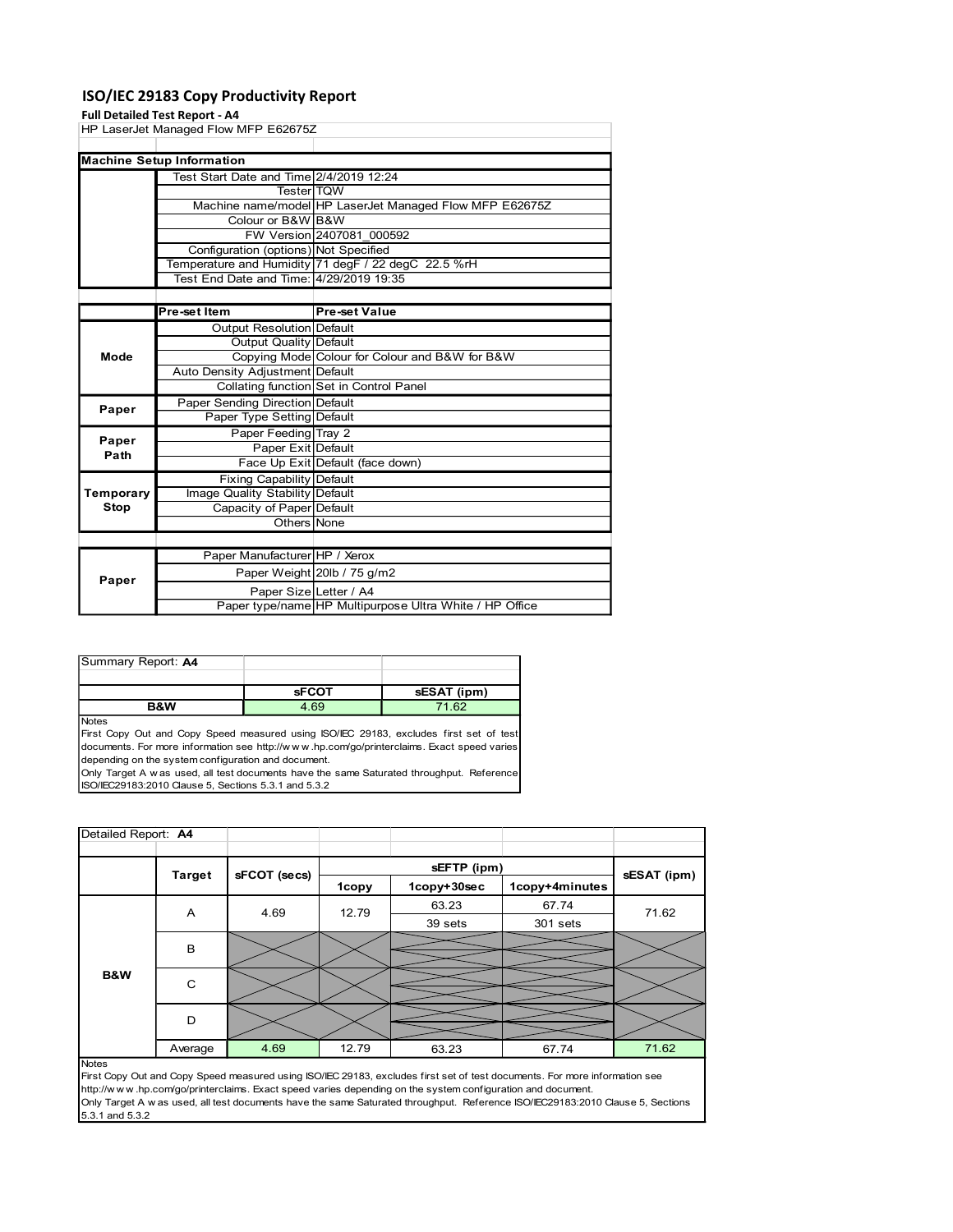### ISO/IEC 29183 Copy Productivity Report

### Full Detailed Test Report - A4

| Test Start Date and Time 2/4/2019 12:24<br>Tester TQW<br>Machine name/model HP LaserJet Managed Flow MFP E62675Z<br>Colour or B&W B&W<br>FW Version 2407081_000592<br>Configuration (options) Not Specified<br>Temperature and Humidity 71 degF / 22 degC 22.5 %rH<br>Test End Date and Time: 4/29/2019 19:35<br><b>Pre-set Value</b><br>Pre-set Item<br><b>Output Resolution Default</b><br><b>Output Quality Default</b><br>Copying Mode Colour for Colour and B&W for B&W<br>Mode<br>Auto Density Adjustment Default<br>Collating function Set in Control Panel<br>Paper Sending Direction Default<br>Paper<br>Paper Type Setting Default<br>Paper Feeding Tray 2<br>Paper<br>Paper Exit Default<br>Path<br>Face Up Exit Default (face down)<br><b>Fixing Capability Default</b><br>Image Quality Stability Default<br><b>Stop</b><br>Capacity of Paper Default<br>Others None<br>Paper Manufacturer HP / Xerox<br>Paper Weight 20lb / 75 g/m2<br>Paper<br>Paper Size Letter / A4<br>Paper type/name HP Multipurpose Ultra White / HP Office |                                      |
|-------------------------------------------------------------------------------------------------------------------------------------------------------------------------------------------------------------------------------------------------------------------------------------------------------------------------------------------------------------------------------------------------------------------------------------------------------------------------------------------------------------------------------------------------------------------------------------------------------------------------------------------------------------------------------------------------------------------------------------------------------------------------------------------------------------------------------------------------------------------------------------------------------------------------------------------------------------------------------------------------------------------------------------------------|--------------------------------------|
|                                                                                                                                                                                                                                                                                                                                                                                                                                                                                                                                                                                                                                                                                                                                                                                                                                                                                                                                                                                                                                                 |                                      |
|                                                                                                                                                                                                                                                                                                                                                                                                                                                                                                                                                                                                                                                                                                                                                                                                                                                                                                                                                                                                                                                 |                                      |
|                                                                                                                                                                                                                                                                                                                                                                                                                                                                                                                                                                                                                                                                                                                                                                                                                                                                                                                                                                                                                                                 |                                      |
|                                                                                                                                                                                                                                                                                                                                                                                                                                                                                                                                                                                                                                                                                                                                                                                                                                                                                                                                                                                                                                                 |                                      |
|                                                                                                                                                                                                                                                                                                                                                                                                                                                                                                                                                                                                                                                                                                                                                                                                                                                                                                                                                                                                                                                 |                                      |
|                                                                                                                                                                                                                                                                                                                                                                                                                                                                                                                                                                                                                                                                                                                                                                                                                                                                                                                                                                                                                                                 |                                      |
|                                                                                                                                                                                                                                                                                                                                                                                                                                                                                                                                                                                                                                                                                                                                                                                                                                                                                                                                                                                                                                                 | Temporary                            |
|                                                                                                                                                                                                                                                                                                                                                                                                                                                                                                                                                                                                                                                                                                                                                                                                                                                                                                                                                                                                                                                 |                                      |
|                                                                                                                                                                                                                                                                                                                                                                                                                                                                                                                                                                                                                                                                                                                                                                                                                                                                                                                                                                                                                                                 |                                      |
|                                                                                                                                                                                                                                                                                                                                                                                                                                                                                                                                                                                                                                                                                                                                                                                                                                                                                                                                                                                                                                                 |                                      |
|                                                                                                                                                                                                                                                                                                                                                                                                                                                                                                                                                                                                                                                                                                                                                                                                                                                                                                                                                                                                                                                 |                                      |
|                                                                                                                                                                                                                                                                                                                                                                                                                                                                                                                                                                                                                                                                                                                                                                                                                                                                                                                                                                                                                                                 |                                      |
|                                                                                                                                                                                                                                                                                                                                                                                                                                                                                                                                                                                                                                                                                                                                                                                                                                                                                                                                                                                                                                                 |                                      |
|                                                                                                                                                                                                                                                                                                                                                                                                                                                                                                                                                                                                                                                                                                                                                                                                                                                                                                                                                                                                                                                 |                                      |
|                                                                                                                                                                                                                                                                                                                                                                                                                                                                                                                                                                                                                                                                                                                                                                                                                                                                                                                                                                                                                                                 |                                      |
|                                                                                                                                                                                                                                                                                                                                                                                                                                                                                                                                                                                                                                                                                                                                                                                                                                                                                                                                                                                                                                                 |                                      |
|                                                                                                                                                                                                                                                                                                                                                                                                                                                                                                                                                                                                                                                                                                                                                                                                                                                                                                                                                                                                                                                 |                                      |
|                                                                                                                                                                                                                                                                                                                                                                                                                                                                                                                                                                                                                                                                                                                                                                                                                                                                                                                                                                                                                                                 |                                      |
|                                                                                                                                                                                                                                                                                                                                                                                                                                                                                                                                                                                                                                                                                                                                                                                                                                                                                                                                                                                                                                                 |                                      |
|                                                                                                                                                                                                                                                                                                                                                                                                                                                                                                                                                                                                                                                                                                                                                                                                                                                                                                                                                                                                                                                 |                                      |
|                                                                                                                                                                                                                                                                                                                                                                                                                                                                                                                                                                                                                                                                                                                                                                                                                                                                                                                                                                                                                                                 | <b>Machine Setup Information</b>     |
|                                                                                                                                                                                                                                                                                                                                                                                                                                                                                                                                                                                                                                                                                                                                                                                                                                                                                                                                                                                                                                                 | HP LaserJet Managed Flow MFP E62675Z |

| Summary Report: A4 |              |             |
|--------------------|--------------|-------------|
|                    |              |             |
|                    | <b>SFCOT</b> | sESAT (ipm) |
| <b>B&amp;W</b>     | 4.69         | 71.62       |

|                     |                | <b>Fixing Capability Default</b>                     |       |                                                                                                            |                                                                                                                                |             |
|---------------------|----------------|------------------------------------------------------|-------|------------------------------------------------------------------------------------------------------------|--------------------------------------------------------------------------------------------------------------------------------|-------------|
| Temporary           |                | Image Quality Stability Default                      |       |                                                                                                            |                                                                                                                                |             |
| <b>Stop</b>         |                | Capacity of Paper Default                            |       |                                                                                                            |                                                                                                                                |             |
|                     |                | Others None                                          |       |                                                                                                            |                                                                                                                                |             |
|                     |                |                                                      |       |                                                                                                            |                                                                                                                                |             |
|                     |                | Paper Manufacturer HP / Xerox                        |       |                                                                                                            |                                                                                                                                |             |
| Paper               |                | Paper Weight 20lb / 75 g/m2                          |       |                                                                                                            |                                                                                                                                |             |
|                     |                | Paper Size Letter / A4                               |       | Paper type/name HP Multipurpose Ultra White / HP Office                                                    |                                                                                                                                |             |
|                     |                |                                                      |       |                                                                                                            |                                                                                                                                |             |
|                     |                |                                                      |       |                                                                                                            |                                                                                                                                |             |
|                     |                |                                                      |       |                                                                                                            |                                                                                                                                |             |
| Summary Report: A4  |                |                                                      |       |                                                                                                            |                                                                                                                                |             |
|                     |                | <b>SFCOT</b>                                         |       | sESAT (ipm)                                                                                                |                                                                                                                                |             |
|                     | <b>B&amp;W</b> | 4.69                                                 |       | 71.62                                                                                                      |                                                                                                                                |             |
| <b>Notes</b>        |                |                                                      |       |                                                                                                            |                                                                                                                                |             |
|                     |                |                                                      |       | First Copy Out and Copy Speed measured using ISO/IEC 29183, excludes first set of test                     |                                                                                                                                |             |
|                     |                | depending on the system configuration and document.  |       | documents. For more information see http://www.hp.com/go/printerclaims. Exact speed varies                 |                                                                                                                                |             |
|                     |                |                                                      |       | Only Target A w as used, all test documents have the same Saturated throughput. Reference                  |                                                                                                                                |             |
|                     |                | ISO/IEC29183:2010 Clause 5, Sections 5.3.1 and 5.3.2 |       |                                                                                                            |                                                                                                                                |             |
|                     |                |                                                      |       |                                                                                                            |                                                                                                                                |             |
|                     |                |                                                      |       |                                                                                                            |                                                                                                                                |             |
|                     |                |                                                      |       |                                                                                                            |                                                                                                                                |             |
| Detailed Report: A4 |                |                                                      |       |                                                                                                            |                                                                                                                                |             |
|                     |                |                                                      |       |                                                                                                            |                                                                                                                                |             |
|                     | <b>Target</b>  | sFCOT (secs)                                         |       | sEFTP (ipm)                                                                                                |                                                                                                                                | sESAT (ipm) |
|                     |                |                                                      | 1copy | 1copy+30sec                                                                                                | 1copy+4minutes                                                                                                                 |             |
|                     | Α              | 4.69                                                 | 12.79 | 63.23                                                                                                      | 67.74                                                                                                                          | 71.62       |
|                     |                |                                                      |       | 39 sets                                                                                                    | 301 sets                                                                                                                       |             |
|                     | В              |                                                      |       |                                                                                                            |                                                                                                                                |             |
|                     |                |                                                      |       |                                                                                                            |                                                                                                                                |             |
| B&W                 |                |                                                      |       |                                                                                                            |                                                                                                                                |             |
|                     | $\mathbf C$    |                                                      |       |                                                                                                            |                                                                                                                                |             |
|                     |                |                                                      |       |                                                                                                            |                                                                                                                                |             |
|                     | D              |                                                      |       |                                                                                                            |                                                                                                                                |             |
|                     |                | 4.69                                                 | 12.79 | 63.23                                                                                                      | 67.74                                                                                                                          | 71.62       |
| <b>Notes</b>        | Average        |                                                      |       |                                                                                                            |                                                                                                                                |             |
|                     |                |                                                      |       |                                                                                                            | First Copy Out and Copy Speed measured using ISO/IEC 29183, excludes first set of test documents. For more information see     |             |
|                     |                |                                                      |       | http://www.hp.com/go/printerclaims. Exact speed varies depending on the system configuration and document. |                                                                                                                                |             |
|                     |                |                                                      |       |                                                                                                            | Only Target A w as used, all test documents have the same Saturated throughput. Reference ISO/IEC29183:2010 Clause 5, Sections |             |
|                     |                |                                                      |       |                                                                                                            |                                                                                                                                |             |
| 5.3.1 and 5.3.2     |                |                                                      |       |                                                                                                            |                                                                                                                                |             |
|                     |                |                                                      |       |                                                                                                            |                                                                                                                                |             |
|                     |                |                                                      |       |                                                                                                            |                                                                                                                                |             |
|                     |                |                                                      |       |                                                                                                            |                                                                                                                                |             |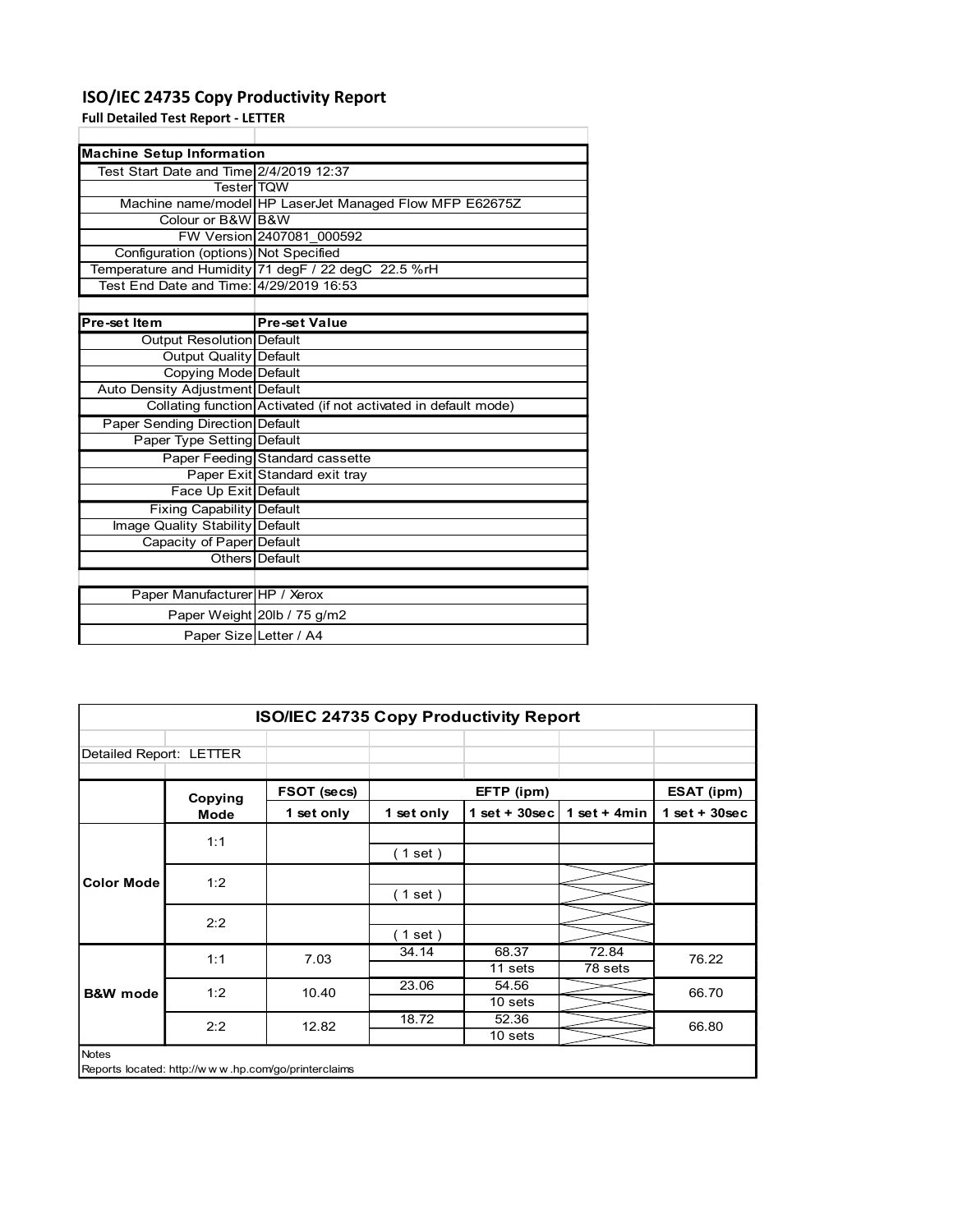## ISO/IEC 24735 Copy Productivity Report

| ISO/IEC 24735 Copy Productivity Report                       |                                                                 |
|--------------------------------------------------------------|-----------------------------------------------------------------|
| <b>Full Detailed Test Report - LETTER</b>                    |                                                                 |
|                                                              |                                                                 |
| <b>Machine Setup Information</b>                             |                                                                 |
| Test Start Date and Time 2/4/2019 12:37                      |                                                                 |
| Tester TQW                                                   |                                                                 |
|                                                              | Machine name/model HP LaserJet Managed Flow MFP E62675Z         |
| Colour or B&W B&W                                            |                                                                 |
|                                                              | FW Version 2407081 000592                                       |
| Configuration (options) Not Specified                        |                                                                 |
| Test End Date and Time: 4/29/2019 16:53                      | Temperature and Humidity 71 degF / 22 degC 22.5 %rH             |
|                                                              |                                                                 |
| Pre-set Item                                                 | <b>Pre-set Value</b>                                            |
| Output Resolution Default                                    |                                                                 |
| <b>Output Quality Default</b>                                |                                                                 |
| Copying Mode Default                                         |                                                                 |
| Auto Density Adjustment Default                              |                                                                 |
|                                                              | Collating function Activated (if not activated in default mode) |
| Paper Sending Direction Default                              |                                                                 |
| Paper Type Setting Default                                   |                                                                 |
|                                                              | Paper Feeding Standard cassette                                 |
|                                                              |                                                                 |
|                                                              |                                                                 |
|                                                              | Paper Exit Standard exit tray                                   |
| Face Up Exit Default                                         |                                                                 |
| <b>Fixing Capability Default</b>                             |                                                                 |
| Image Quality Stability Default<br>Capacity of Paper Default |                                                                 |
|                                                              | Others Default                                                  |
|                                                              |                                                                 |
|                                                              |                                                                 |
| Paper Manufacturer HP / Xerox                                |                                                                 |
|                                                              | Paper Weight 20lb / 75 g/m2                                     |
|                                                              | Paper Size Letter / A4                                          |
|                                                              |                                                                 |
|                                                              |                                                                 |
|                                                              |                                                                 |
|                                                              | ISO/IEC 24735 Copy Productivity Report                          |

|                               | -------------               |
|-------------------------------|-----------------------------|
|                               |                             |
| Paper Manufacturer HP / Xerox |                             |
|                               | Paper Weight 20lb / 75 g/m2 |
| Paper Size Letter / A4        |                             |
|                               |                             |

|                         | Auto Density Adjustment Default |                                                                 |            |                    |                |                 |
|-------------------------|---------------------------------|-----------------------------------------------------------------|------------|--------------------|----------------|-----------------|
|                         |                                 | Collating function Activated (if not activated in default mode) |            |                    |                |                 |
|                         | Paper Sending Direction Default |                                                                 |            |                    |                |                 |
|                         | Paper Type Setting Default      |                                                                 |            |                    |                |                 |
|                         |                                 | Paper Feeding Standard cassette                                 |            |                    |                |                 |
|                         |                                 | Paper Exit Standard exit tray                                   |            |                    |                |                 |
|                         | Face Up Exit Default            |                                                                 |            |                    |                |                 |
|                         | Fixing Capability Default       |                                                                 |            |                    |                |                 |
|                         | Image Quality Stability Default |                                                                 |            |                    |                |                 |
|                         | Capacity of Paper Default       |                                                                 |            |                    |                |                 |
|                         | <b>Others</b> Default           |                                                                 |            |                    |                |                 |
|                         | Paper Manufacturer HP / Xerox   |                                                                 |            |                    |                |                 |
|                         |                                 |                                                                 |            |                    |                |                 |
|                         |                                 | Paper Weight 20lb / 75 g/m2                                     |            |                    |                |                 |
|                         | Paper Size Letter / A4          |                                                                 |            |                    |                |                 |
|                         |                                 |                                                                 |            |                    |                |                 |
|                         |                                 |                                                                 |            |                    |                |                 |
|                         |                                 |                                                                 |            |                    |                |                 |
|                         |                                 |                                                                 |            |                    |                |                 |
|                         |                                 | ISO/IEC 24735 Copy Productivity Report                          |            |                    |                |                 |
|                         |                                 |                                                                 |            |                    |                |                 |
| Detailed Report: LETTER |                                 |                                                                 |            |                    |                |                 |
|                         |                                 |                                                                 |            |                    |                |                 |
|                         |                                 |                                                                 |            |                    |                |                 |
|                         |                                 | FSOT (secs)                                                     |            | EFTP (ipm)         |                | ESAT (ipm)      |
|                         | Copying<br>Mode                 | 1 set only                                                      | 1 set only | $1 set + 30 sec$   | 1 set + $4min$ | $1$ set + 30sec |
|                         |                                 |                                                                 |            |                    |                |                 |
|                         | 1:1                             |                                                                 |            |                    |                |                 |
|                         |                                 |                                                                 | (1 set)    |                    |                |                 |
| <b>Color Mode</b>       | 1:2                             |                                                                 |            |                    |                |                 |
|                         |                                 |                                                                 | (1 set)    |                    |                |                 |
|                         |                                 |                                                                 |            |                    |                |                 |
|                         | 2:2                             |                                                                 | (1 set)    |                    |                |                 |
|                         |                                 |                                                                 | 34.14      | 68.37              | 72.84          |                 |
|                         | 1:1                             | 7.03                                                            |            | 11 sets            | 78 sets        | 76.22           |
|                         |                                 |                                                                 | 23.06      | 54.56              |                |                 |
| <b>B&amp;W</b> mode     | 1:2                             | 10.40                                                           |            | 10 <sub>sets</sub> |                | 66.70           |
|                         |                                 |                                                                 | 18.72      | 52.36              |                | 66.80           |
|                         | 2:2                             | 12.82                                                           |            | 10 <sub>sets</sub> |                |                 |
| Notes                   |                                 |                                                                 |            |                    |                |                 |
|                         |                                 | Reports located: http://www.hp.com/go/printerclaims             |            |                    |                |                 |
|                         |                                 |                                                                 |            |                    |                |                 |
|                         |                                 |                                                                 |            |                    |                |                 |
|                         |                                 |                                                                 |            |                    |                |                 |
|                         |                                 |                                                                 |            |                    |                |                 |
|                         |                                 |                                                                 |            |                    |                |                 |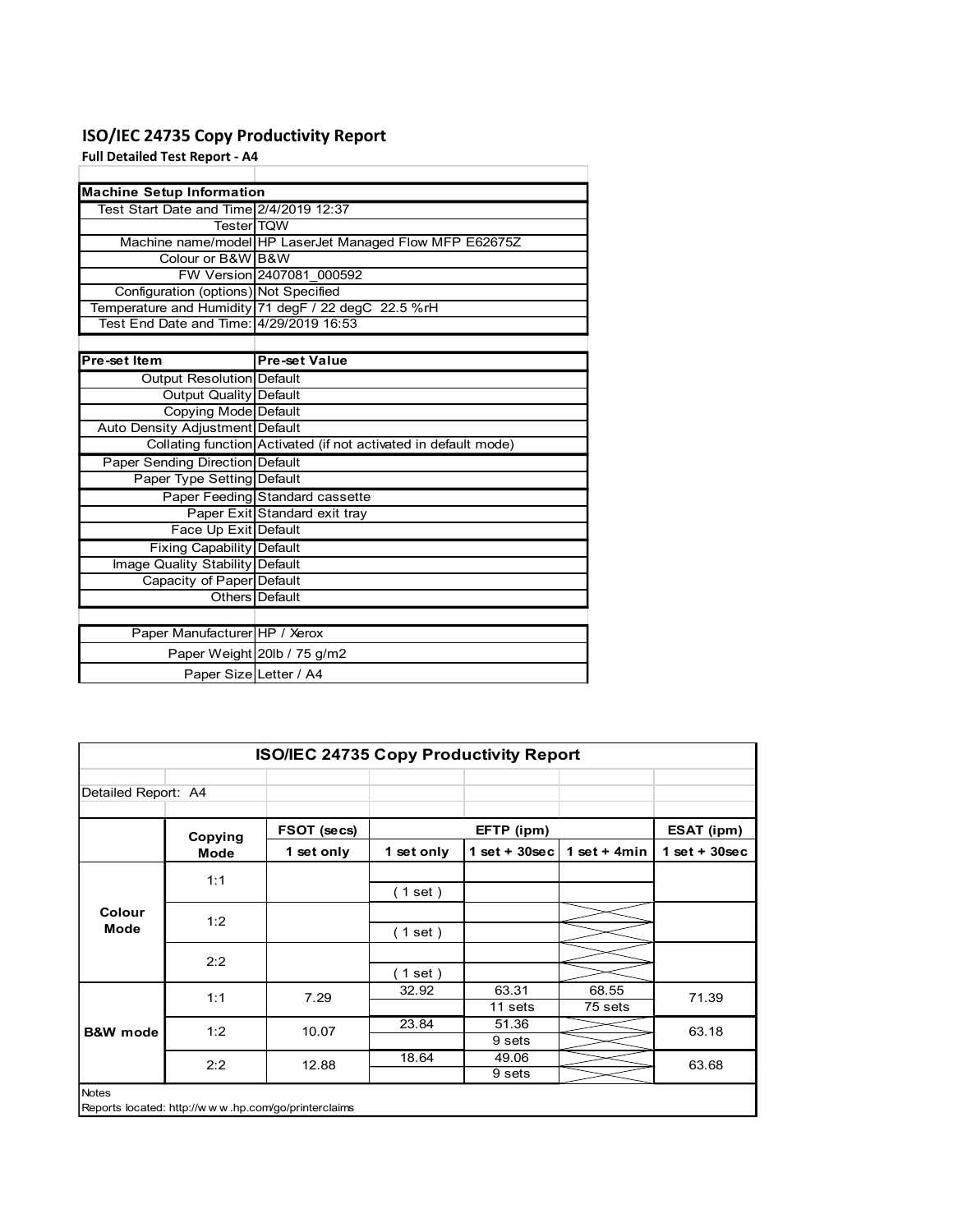### ISO/IEC 24735 Copy Productivity Report

| ISO/IEC 24735 Copy Productivity Report  |                                                                 |
|-----------------------------------------|-----------------------------------------------------------------|
| <b>Full Detailed Test Report - A4</b>   |                                                                 |
|                                         |                                                                 |
| <b>Machine Setup Information</b>        |                                                                 |
| Test Start Date and Time 2/4/2019 12:37 |                                                                 |
| Tester TQW                              | Machine name/model HP LaserJet Managed Flow MFP E62675Z         |
| Colour or B&W B&W                       |                                                                 |
|                                         | FW Version 2407081 000592                                       |
| Configuration (options) Not Specified   |                                                                 |
|                                         | Temperature and Humidity 71 degF / 22 degC 22.5 %rH             |
| Test End Date and Time: 4/29/2019 16:53 |                                                                 |
|                                         |                                                                 |
| Pre-set Item                            | <b>Pre-set Value</b>                                            |
| Output Resolution Default               |                                                                 |
| <b>Output Quality Default</b>           |                                                                 |
| Copying Mode Default                    |                                                                 |
| Auto Density Adjustment Default         |                                                                 |
|                                         | Collating function Activated (if not activated in default mode) |
| Paper Sending Direction Default         |                                                                 |
| Paper Type Setting Default              |                                                                 |
|                                         | Paper Feeding Standard cassette                                 |
|                                         | Paper Exit Standard exit tray                                   |
| Face Up Exit Default                    |                                                                 |
| <b>Fixing Capability Default</b>        |                                                                 |
| Image Quality Stability Default         |                                                                 |
| Capacity of Paper Default               |                                                                 |
|                                         | Others Default                                                  |
|                                         |                                                                 |
| Paper Manufacturer HP / Xerox           |                                                                 |
|                                         | Paper Weight 20lb / 75 g/m2                                     |
|                                         | Paper Size Letter / A4                                          |
|                                         |                                                                 |
|                                         |                                                                 |
|                                         |                                                                 |
|                                         |                                                                 |
|                                         |                                                                 |
|                                         | ISO/IEC 24735 Copy Productivity Report                          |

|                     | Auto Density Adjustment Default |                                                                 |            |                   |                |                 |
|---------------------|---------------------------------|-----------------------------------------------------------------|------------|-------------------|----------------|-----------------|
|                     |                                 | Collating function Activated (if not activated in default mode) |            |                   |                |                 |
|                     | Paper Sending Direction Default |                                                                 |            |                   |                |                 |
|                     | Paper Type Setting Default      |                                                                 |            |                   |                |                 |
|                     |                                 | Paper Feeding Standard cassette                                 |            |                   |                |                 |
|                     |                                 | Paper Exit Standard exit tray                                   |            |                   |                |                 |
|                     | Face Up Exit Default            |                                                                 |            |                   |                |                 |
|                     | Fixing Capability Default       |                                                                 |            |                   |                |                 |
|                     | Image Quality Stability Default |                                                                 |            |                   |                |                 |
|                     | Capacity of Paper Default       |                                                                 |            |                   |                |                 |
|                     | Others Default                  |                                                                 |            |                   |                |                 |
|                     |                                 |                                                                 |            |                   |                |                 |
|                     | Paper Manufacturer HP / Xerox   |                                                                 |            |                   |                |                 |
|                     | Paper Weight 20lb / 75 g/m2     |                                                                 |            |                   |                |                 |
|                     | Paper Size Letter / A4          |                                                                 |            |                   |                |                 |
|                     |                                 |                                                                 |            |                   |                |                 |
|                     |                                 |                                                                 |            |                   |                |                 |
|                     |                                 |                                                                 |            |                   |                |                 |
|                     |                                 |                                                                 |            |                   |                |                 |
|                     |                                 | ISO/IEC 24735 Copy Productivity Report                          |            |                   |                |                 |
|                     |                                 |                                                                 |            |                   |                |                 |
| Detailed Report: A4 |                                 |                                                                 |            |                   |                |                 |
|                     |                                 |                                                                 |            |                   |                |                 |
|                     |                                 |                                                                 |            |                   |                |                 |
|                     |                                 | FSOT (secs)                                                     |            | EFTP (ipm)        |                | ESAT (ipm)      |
|                     | Copying<br><b>Mode</b>          | 1 set only                                                      | 1 set only | $1$ set + 30sec   | 1 set + $4min$ | $1$ set + 30sec |
|                     |                                 |                                                                 |            |                   |                |                 |
|                     | 1:1                             |                                                                 |            |                   |                |                 |
|                     |                                 |                                                                 | (1 set)    |                   |                |                 |
| Colour              | 1:2                             |                                                                 |            |                   |                |                 |
| Mode                |                                 |                                                                 | (1 set)    |                   |                |                 |
|                     |                                 |                                                                 |            |                   |                |                 |
|                     | 2:2                             |                                                                 | (1 set)    |                   |                |                 |
|                     |                                 |                                                                 | 32.92      | 63.31             | 68.55          |                 |
|                     | 1:1                             | 7.29                                                            |            | $11$ sets         | 75 sets        | 71.39           |
|                     | 1:2                             | 10.07                                                           | 23.84      | 51.36             |                | 63.18           |
| <b>B&amp;W</b> mode |                                 |                                                                 |            | 9 <sub>sets</sub> |                |                 |
|                     |                                 |                                                                 | 18.64      | 49.06             |                |                 |
|                     | 2:2                             | 12.88                                                           |            | 9 <sub>sets</sub> |                | 63.68           |
| Notes               |                                 |                                                                 |            |                   |                |                 |
|                     |                                 | Reports located: http://www.hp.com/go/printerclaims             |            |                   |                |                 |
|                     |                                 |                                                                 |            |                   |                |                 |
|                     |                                 |                                                                 |            |                   |                |                 |
|                     |                                 |                                                                 |            |                   |                |                 |
|                     |                                 |                                                                 |            |                   |                |                 |
|                     |                                 |                                                                 |            |                   |                |                 |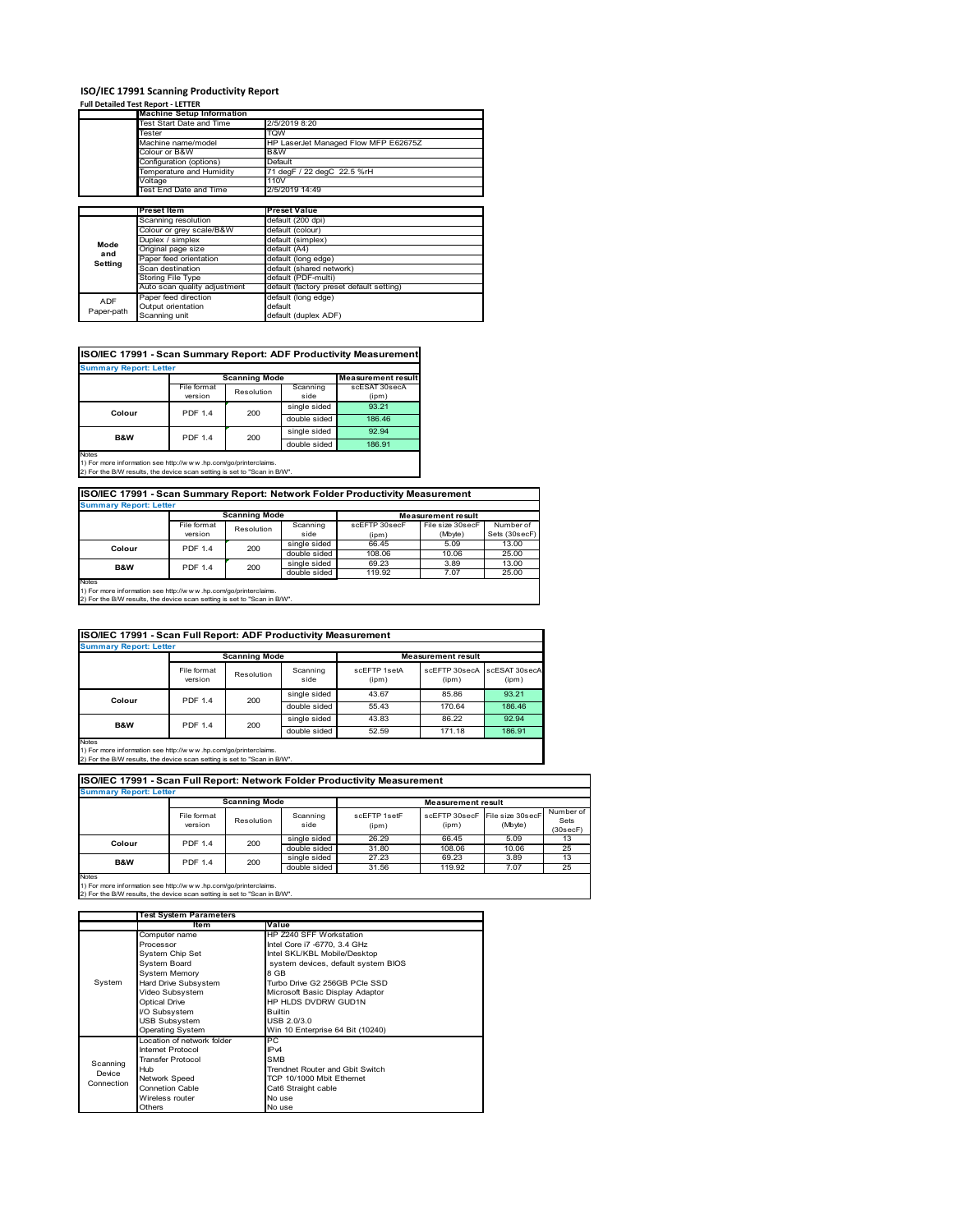### **ISO/IEC 17991 Scanning Productivity Report**

#### **Full Detailed Test Report ‐ LETTER**

|            | <b>Machine Setup Information</b> |                                          |  |  |  |  |
|------------|----------------------------------|------------------------------------------|--|--|--|--|
|            | Test Start Date and Time         | 2/5/2019 8:20                            |  |  |  |  |
|            | Tester                           | <b>TQW</b>                               |  |  |  |  |
|            | Machine name/model               | HP LaserJet Managed Flow MFP E62675Z     |  |  |  |  |
|            | Colour or B&W                    | B&W                                      |  |  |  |  |
|            | Configuration (options)          | Default                                  |  |  |  |  |
|            | Temperature and Humidity         | 71 degF / 22 degC 22.5 %rH               |  |  |  |  |
|            | Voltage                          | 110V                                     |  |  |  |  |
|            | Test End Date and Time           | 2/5/2019 14:49                           |  |  |  |  |
|            |                                  |                                          |  |  |  |  |
|            | <b>Preset Item</b>               | <b>Preset Value</b>                      |  |  |  |  |
|            | Scanning resolution              | default (200 dpi)                        |  |  |  |  |
|            | Colour or grey scale/B&W         | default (colour)                         |  |  |  |  |
| Mode       | Duplex / simplex                 | default (simplex)                        |  |  |  |  |
| and        | Original page size               | default (A4)                             |  |  |  |  |
| Setting    | Paper feed orientation           | default (long edge)                      |  |  |  |  |
|            | Scan destination                 | default (shared network)                 |  |  |  |  |
|            | Storing File Type                | default (PDF-multi)                      |  |  |  |  |
|            | Auto scan quality adjustment     | default (factory preset default setting) |  |  |  |  |
| ADF        | Paper feed direction             | default (long edge)                      |  |  |  |  |
|            | Output orientation               | default                                  |  |  |  |  |
| Paper-path | Scanning unit                    | default (duplex ADF)                     |  |  |  |  |

### **ISO/IEC 17991 - Scan Summary Report: ADF Productivity Measurement**

| <b>Summary Report: Letter</b> |                | <b>Scanning Mode</b> |              | <b>Measurement result</b> |
|-------------------------------|----------------|----------------------|--------------|---------------------------|
|                               |                |                      |              |                           |
|                               | File format    | Resolution           | Scanning     | scESAT 30secA             |
|                               | version        |                      | side         | (ipm)                     |
| Colour                        | <b>PDF 1.4</b> | 200                  | single sided | 93.21                     |
|                               |                |                      | double sided | 186.46                    |
| <b>B&amp;W</b>                | <b>PDF 1.4</b> | 200                  | single sided | 92.94                     |
|                               |                |                      | double sided | 186.91                    |
| <b>Notes</b>                  |                |                      |              |                           |

1) For more information see http://w w w .hp.com/go/printerclaims. 2) For the B/W results, the device scan setting is set to "Scan in B/W".

### **ISO/IEC 17991 - Scan Summary Report: Network Folder Productivity Measurement**

| <b>Summary Report: Letter</b> |                           |                      |              |                           |                  |               |  |
|-------------------------------|---------------------------|----------------------|--------------|---------------------------|------------------|---------------|--|
|                               |                           | <b>Scanning Mode</b> |              | <b>Measurement result</b> |                  |               |  |
|                               | File format<br>Resolution |                      | Scanning     | scEFTP 30secF             | File size 30secF | Number of     |  |
|                               | version                   |                      | side         | (ipm)                     | (Mbyte)          | Sets (30secF) |  |
| Colour                        | <b>PDF 1.4</b>            | 200                  | single sided | 66.45                     | 5.09             | 13.00         |  |
|                               |                           |                      | double sided | 108.06                    | 10.06            | 25.00         |  |
| B&W                           | <b>PDF 1.4</b>            | 200                  | single sided | 69.23                     | 3.89             | 13.00         |  |
|                               |                           |                      | double sided | 119.92                    | 7.07             | 25.00         |  |
| Notes                         |                           |                      |              |                           |                  |               |  |

Notes 1) For more information see http://w w w .hp.com/go/printerclaims. 2) For the B/W results, the device scan setting is set to "Scan in B/W".

#### File format version Resolution Scanning side scEFTP 1setA (ipm) scEFTP 30secA (ipm) scESAT 30secA (ipm) single sided 43.67 85.86 93.21 double sided 55.43 170.64 186.46<br>single sided 43.83 86.22 92.94 single sided 43.83 86.22 92.94<br>double sided 52.59 171.18 186.91 double sid **ISO/IEC 17991 - Scan Full Report: ADF Productivity Measurement Immary Report: Letter Measurement** re **Scanning Mode Colour** PDF 1.4 200 **B&W** PDF 1.4 200

Notes 1) For more information see http://w w w .hp.com/go/printerclaims. 2) For the B/W results, the device scan setting is set to "Scan in B/W".

| <b>Summary Report: Letter</b> |                        |                      |                  |                       |                           |                             |                               |
|-------------------------------|------------------------|----------------------|------------------|-----------------------|---------------------------|-----------------------------|-------------------------------|
|                               |                        | <b>Scanning Mode</b> |                  |                       | <b>Measurement result</b> |                             |                               |
|                               | File format<br>version | Resolution           | Scanning<br>side | scFFTP 1setF<br>(ipm) | scFFTP 30secF<br>(ipm)    | File size 30secF<br>(Mbyte) | Number of<br>Sets<br>(30secF) |
| Colour                        | <b>PDF 1.4</b>         | 200                  | single sided     | 26.29                 | 66.45                     | 5.09                        | 13                            |
|                               |                        |                      | double sided     | 31.80                 | 108.06                    | 10.06                       | 25                            |
| <b>B&amp;W</b>                | <b>PDF 1.4</b>         | 200                  | single sided     | 27.23                 | 69.23                     | 3.89                        | 13                            |
|                               |                        |                      | double sided     | 31.56                 | 119.92                    | 7.07                        | 25                            |

1) For more information see http://w w w .hp.com/go/printerclaims. 2) For the B/W results, the device scan setting is set to "Scan in B/W".

|            | <b>Test System Parameters</b> |                                     |  |  |  |  |
|------------|-------------------------------|-------------------------------------|--|--|--|--|
|            | Item                          | Value                               |  |  |  |  |
|            | Computer name                 | HP Z240 SFF Workstation             |  |  |  |  |
|            | Processor                     | Intel Core i7 -6770, 3.4 GHz        |  |  |  |  |
|            | System Chip Set               | Intel SKL/KBL Mobile/Desktop        |  |  |  |  |
|            | System Board                  | system devices, default system BIOS |  |  |  |  |
|            | <b>System Memory</b>          | 8 GB                                |  |  |  |  |
| System     | Hard Drive Subsystem          | Turbo Drive G2 256GB PCIe SSD       |  |  |  |  |
|            | Video Subsystem               | Microsoft Basic Display Adaptor     |  |  |  |  |
|            | <b>Optical Drive</b>          | HP HLDS DVDRW GUD1N                 |  |  |  |  |
|            | I/O Subsystem                 | <b>Builtin</b>                      |  |  |  |  |
|            | <b>USB Subsystem</b>          | USB 2.0/3.0                         |  |  |  |  |
|            | <b>Operating System</b>       | Win 10 Enterprise 64 Bit (10240)    |  |  |  |  |
|            | Location of network folder    | РC                                  |  |  |  |  |
|            | Internet Protocol             | IP <sub>v4</sub>                    |  |  |  |  |
| Scanning   | <b>Transfer Protocol</b>      | <b>SMB</b>                          |  |  |  |  |
| Device     | Hub                           | Trendnet Router and Gbit Switch     |  |  |  |  |
| Connection | <b>Network Speed</b>          | TCP 10/1000 Mbit Ethernet           |  |  |  |  |
|            | <b>Connetion Cable</b>        | Cat6 Straight cable                 |  |  |  |  |
|            | Wireless router               | No use                              |  |  |  |  |
|            | Others                        | No use                              |  |  |  |  |